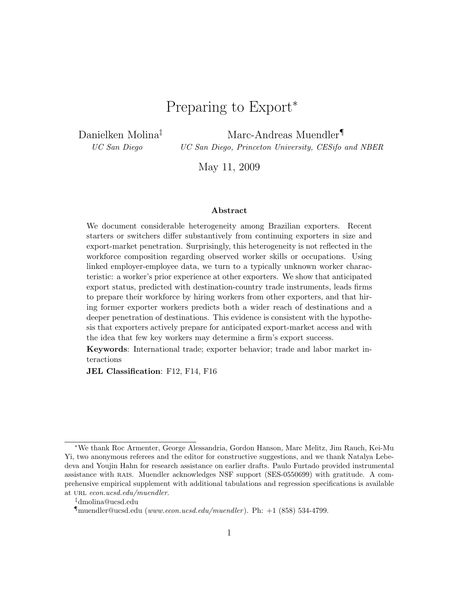# Preparing to Export<sup>∗</sup>

Danielken Molina‡

UC San Diego

Marc-Andreas Muendler¶

UC San Diego, Princeton University, CESifo and NBER

May 11, 2009

#### Abstract

We document considerable heterogeneity among Brazilian exporters. Recent starters or switchers differ substantively from continuing exporters in size and export-market penetration. Surprisingly, this heterogeneity is not reflected in the workforce composition regarding observed worker skills or occupations. Using linked employer-employee data, we turn to a typically unknown worker characteristic: a worker's prior experience at other exporters. We show that anticipated export status, predicted with destination-country trade instruments, leads firms to prepare their workforce by hiring workers from other exporters, and that hiring former exporter workers predicts both a wider reach of destinations and a deeper penetration of destinations. This evidence is consistent with the hypothesis that exporters actively prepare for anticipated export-market access and with the idea that few key workers may determine a firm's export success.

Keywords: International trade; exporter behavior; trade and labor market interactions

JEL Classification: F12, F14, F16

<sup>∗</sup>We thank Roc Armenter, George Alessandria, Gordon Hanson, Marc Melitz, Jim Rauch, Kei-Mu Yi, two anonymous referees and the editor for constructive suggestions, and we thank Natalya Lebedeva and Youjin Hahn for research assistance on earlier drafts. Paulo Furtado provided instrumental assistance with rais. Muendler acknowledges NSF support (SES-0550699) with gratitude. A comprehensive empirical supplement with additional tabulations and regression specifications is available at URL econ.ucsd.edu/muendler.

<sup>‡</sup>dmolina@ucsd.edu

 $\P$ muendler@ucsd.edu (www.econ.ucsd.edu/muendler). Ph:  $+1$  (858) 534-4799.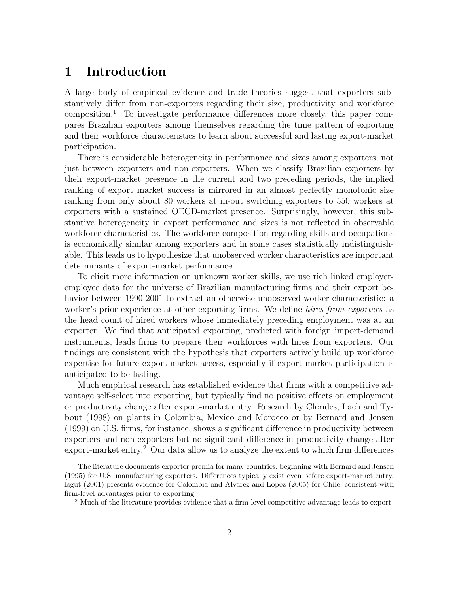# 1 Introduction

A large body of empirical evidence and trade theories suggest that exporters substantively differ from non-exporters regarding their size, productivity and workforce composition.<sup>1</sup> To investigate performance differences more closely, this paper compares Brazilian exporters among themselves regarding the time pattern of exporting and their workforce characteristics to learn about successful and lasting export-market participation.

There is considerable heterogeneity in performance and sizes among exporters, not just between exporters and non-exporters. When we classify Brazilian exporters by their export-market presence in the current and two preceding periods, the implied ranking of export market success is mirrored in an almost perfectly monotonic size ranking from only about 80 workers at in-out switching exporters to 550 workers at exporters with a sustained OECD-market presence. Surprisingly, however, this substantive heterogeneity in export performance and sizes is not reflected in observable workforce characteristics. The workforce composition regarding skills and occupations is economically similar among exporters and in some cases statistically indistinguishable. This leads us to hypothesize that unobserved worker characteristics are important determinants of export-market performance.

To elicit more information on unknown worker skills, we use rich linked employeremployee data for the universe of Brazilian manufacturing firms and their export behavior between 1990-2001 to extract an otherwise unobserved worker characteristic: a worker's prior experience at other exporting firms. We define *hires from exporters* as the head count of hired workers whose immediately preceding employment was at an exporter. We find that anticipated exporting, predicted with foreign import-demand instruments, leads firms to prepare their workforces with hires from exporters. Our findings are consistent with the hypothesis that exporters actively build up workforce expertise for future export-market access, especially if export-market participation is anticipated to be lasting.

Much empirical research has established evidence that firms with a competitive advantage self-select into exporting, but typically find no positive effects on employment or productivity change after export-market entry. Research by Clerides, Lach and Tybout (1998) on plants in Colombia, Mexico and Morocco or by Bernard and Jensen (1999) on U.S. firms, for instance, shows a significant difference in productivity between exporters and non-exporters but no significant difference in productivity change after  $\alpha$  export-market entry.<sup>2</sup> Our data allow us to analyze the extent to which firm differences

<sup>&</sup>lt;sup>1</sup>The literature documents exporter premia for many countries, beginning with Bernard and Jensen (1995) for U.S. manufacturing exporters. Differences typically exist even before export-market entry. Isgut (2001) presents evidence for Colombia and Alvarez and Lopez (2005) for Chile, consistent with firm-level advantages prior to exporting.

<sup>2</sup> Much of the literature provides evidence that a firm-level competitive advantage leads to export-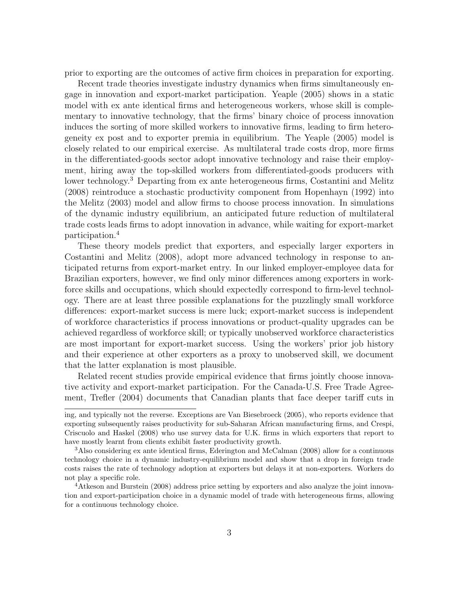prior to exporting are the outcomes of active firm choices in preparation for exporting.

Recent trade theories investigate industry dynamics when firms simultaneously engage in innovation and export-market participation. Yeaple (2005) shows in a static model with ex ante identical firms and heterogeneous workers, whose skill is complementary to innovative technology, that the firms' binary choice of process innovation induces the sorting of more skilled workers to innovative firms, leading to firm heterogeneity ex post and to exporter premia in equilibrium. The Yeaple (2005) model is closely related to our empirical exercise. As multilateral trade costs drop, more firms in the differentiated-goods sector adopt innovative technology and raise their employment, hiring away the top-skilled workers from differentiated-goods producers with lower technology.<sup>3</sup> Departing from ex ante heterogeneous firms, Costantini and Melitz (2008) reintroduce a stochastic productivity component from Hopenhayn (1992) into the Melitz (2003) model and allow firms to choose process innovation. In simulations of the dynamic industry equilibrium, an anticipated future reduction of multilateral trade costs leads firms to adopt innovation in advance, while waiting for export-market participation.<sup>4</sup>

These theory models predict that exporters, and especially larger exporters in Costantini and Melitz (2008), adopt more advanced technology in response to anticipated returns from export-market entry. In our linked employer-employee data for Brazilian exporters, however, we find only minor differences among exporters in workforce skills and occupations, which should expectedly correspond to firm-level technology. There are at least three possible explanations for the puzzlingly small workforce differences: export-market success is mere luck; export-market success is independent of workforce characteristics if process innovations or product-quality upgrades can be achieved regardless of workforce skill; or typically unobserved workforce characteristics are most important for export-market success. Using the workers' prior job history and their experience at other exporters as a proxy to unobserved skill, we document that the latter explanation is most plausible.

Related recent studies provide empirical evidence that firms jointly choose innovative activity and export-market participation. For the Canada-U.S. Free Trade Agreement, Trefler (2004) documents that Canadian plants that face deeper tariff cuts in

ing, and typically not the reverse. Exceptions are Van Biesebroeck (2005), who reports evidence that exporting subsequently raises productivity for sub-Saharan African manufacturing firms, and Crespi, Criscuolo and Haskel (2008) who use survey data for U.K. firms in which exporters that report to have mostly learnt from clients exhibit faster productivity growth.

<sup>3</sup>Also considering ex ante identical firms, Ederington and McCalman (2008) allow for a continuous technology choice in a dynamic industry-equilibrium model and show that a drop in foreign trade costs raises the rate of technology adoption at exporters but delays it at non-exporters. Workers do not play a specific role.

<sup>4</sup>Atkeson and Burstein (2008) address price setting by exporters and also analyze the joint innovation and export-participation choice in a dynamic model of trade with heterogeneous firms, allowing for a continuous technology choice.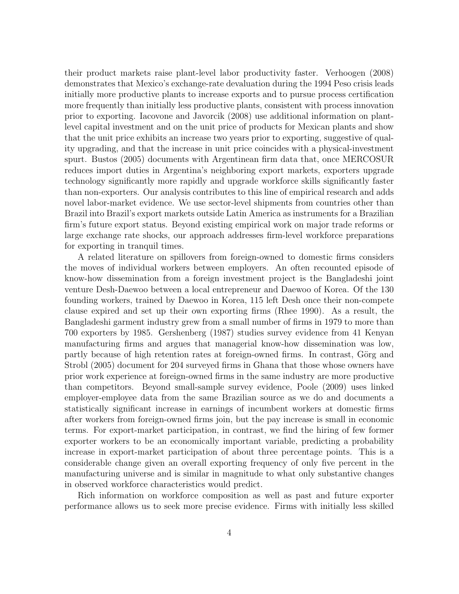their product markets raise plant-level labor productivity faster. Verhoogen (2008) demonstrates that Mexico's exchange-rate devaluation during the 1994 Peso crisis leads initially more productive plants to increase exports and to pursue process certification more frequently than initially less productive plants, consistent with process innovation prior to exporting. Iacovone and Javorcik (2008) use additional information on plantlevel capital investment and on the unit price of products for Mexican plants and show that the unit price exhibits an increase two years prior to exporting, suggestive of quality upgrading, and that the increase in unit price coincides with a physical-investment spurt. Bustos (2005) documents with Argentinean firm data that, once MERCOSUR reduces import duties in Argentina's neighboring export markets, exporters upgrade technology significantly more rapidly and upgrade workforce skills significantly faster than non-exporters. Our analysis contributes to this line of empirical research and adds novel labor-market evidence. We use sector-level shipments from countries other than Brazil into Brazil's export markets outside Latin America as instruments for a Brazilian firm's future export status. Beyond existing empirical work on major trade reforms or large exchange rate shocks, our approach addresses firm-level workforce preparations for exporting in tranquil times.

A related literature on spillovers from foreign-owned to domestic firms considers the moves of individual workers between employers. An often recounted episode of know-how dissemination from a foreign investment project is the Bangladeshi joint venture Desh-Daewoo between a local entrepreneur and Daewoo of Korea. Of the 130 founding workers, trained by Daewoo in Korea, 115 left Desh once their non-compete clause expired and set up their own exporting firms (Rhee 1990). As a result, the Bangladeshi garment industry grew from a small number of firms in 1979 to more than 700 exporters by 1985. Gershenberg (1987) studies survey evidence from 41 Kenyan manufacturing firms and argues that managerial know-how dissemination was low, partly because of high retention rates at foreign-owned firms. In contrast, Görg and Strobl (2005) document for 204 surveyed firms in Ghana that those whose owners have prior work experience at foreign-owned firms in the same industry are more productive than competitors. Beyond small-sample survey evidence, Poole (2009) uses linked employer-employee data from the same Brazilian source as we do and documents a statistically significant increase in earnings of incumbent workers at domestic firms after workers from foreign-owned firms join, but the pay increase is small in economic terms. For export-market participation, in contrast, we find the hiring of few former exporter workers to be an economically important variable, predicting a probability increase in export-market participation of about three percentage points. This is a considerable change given an overall exporting frequency of only five percent in the manufacturing universe and is similar in magnitude to what only substantive changes in observed workforce characteristics would predict.

Rich information on workforce composition as well as past and future exporter performance allows us to seek more precise evidence. Firms with initially less skilled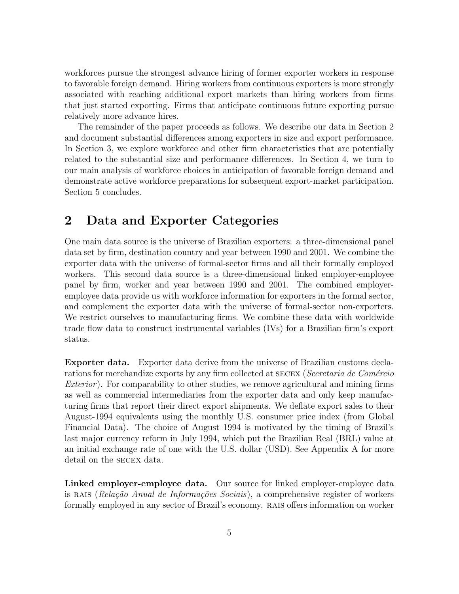workforces pursue the strongest advance hiring of former exporter workers in response to favorable foreign demand. Hiring workers from continuous exporters is more strongly associated with reaching additional export markets than hiring workers from firms that just started exporting. Firms that anticipate continuous future exporting pursue relatively more advance hires.

The remainder of the paper proceeds as follows. We describe our data in Section 2 and document substantial differences among exporters in size and export performance. In Section 3, we explore workforce and other firm characteristics that are potentially related to the substantial size and performance differences. In Section 4, we turn to our main analysis of workforce choices in anticipation of favorable foreign demand and demonstrate active workforce preparations for subsequent export-market participation. Section 5 concludes.

# 2 Data and Exporter Categories

One main data source is the universe of Brazilian exporters: a three-dimensional panel data set by firm, destination country and year between 1990 and 2001. We combine the exporter data with the universe of formal-sector firms and all their formally employed workers. This second data source is a three-dimensional linked employer-employee panel by firm, worker and year between 1990 and 2001. The combined employeremployee data provide us with workforce information for exporters in the formal sector, and complement the exporter data with the universe of formal-sector non-exporters. We restrict ourselves to manufacturing firms. We combine these data with worldwide trade flow data to construct instrumental variables (IVs) for a Brazilian firm's export status.

Exporter data. Exporter data derive from the universe of Brazilian customs declarations for merchandize exports by any firm collected at SECEX (Secretaria de Comércio Exterior). For comparability to other studies, we remove agricultural and mining firms as well as commercial intermediaries from the exporter data and only keep manufacturing firms that report their direct export shipments. We deflate export sales to their August-1994 equivalents using the monthly U.S. consumer price index (from Global Financial Data). The choice of August 1994 is motivated by the timing of Brazil's last major currency reform in July 1994, which put the Brazilian Real (BRL) value at an initial exchange rate of one with the U.S. dollar (USD). See Appendix A for more detail on the secex data.

Linked employer-employee data. Our source for linked employer-employee data is RAIS ( $Relação Anual de Informações Sociais$ ), a comprehensive register of workers formally employed in any sector of Brazil's economy. RAIS offers information on worker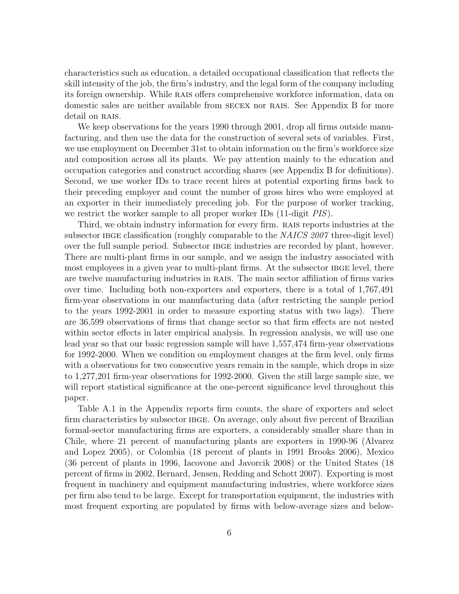characteristics such as education, a detailed occupational classification that reflects the skill intensity of the job, the firm's industry, and the legal form of the company including its foreign ownership. While rais offers comprehensive workforce information, data on domestic sales are neither available from secex nor rais. See Appendix B for more detail on RAIS.

We keep observations for the years 1990 through 2001, drop all firms outside manufacturing, and then use the data for the construction of several sets of variables. First, we use employment on December 31st to obtain information on the firm's workforce size and composition across all its plants. We pay attention mainly to the education and occupation categories and construct according shares (see Appendix B for definitions). Second, we use worker IDs to trace recent hires at potential exporting firms back to their preceding employer and count the number of gross hires who were employed at an exporter in their immediately preceding job. For the purpose of worker tracking, we restrict the worker sample to all proper worker IDs (11-digit *PIS*).

Third, we obtain industry information for every firm. RAIS reports industries at the subsector IBGE classification (roughly comparable to the  $NAICS$  2007 three-digit level) over the full sample period. Subsector IBGE industries are recorded by plant, however. There are multi-plant firms in our sample, and we assign the industry associated with most employees in a given year to multi-plant firms. At the subsector IBGE level, there are twelve manufacturing industries in rais. The main sector affiliation of firms varies over time. Including both non-exporters and exporters, there is a total of 1,767,491 firm-year observations in our manufacturing data (after restricting the sample period to the years 1992-2001 in order to measure exporting status with two lags). There are 36,599 observations of firms that change sector so that firm effects are not nested within sector effects in later empirical analysis. In regression analysis, we will use one lead year so that our basic regression sample will have 1,557,474 firm-year observations for 1992-2000. When we condition on employment changes at the firm level, only firms with a observations for two consecutive years remain in the sample, which drops in size to 1,277,201 firm-year observations for 1992-2000. Given the still large sample size, we will report statistical significance at the one-percent significance level throughout this paper.

Table A.1 in the Appendix reports firm counts, the share of exporters and select firm characteristics by subsector IBGE. On average, only about five percent of Brazilian formal-sector manufacturing firms are exporters, a considerably smaller share than in Chile, where 21 percent of manufacturing plants are exporters in 1990-96 (Alvarez and Lopez 2005), or Colombia (18 percent of plants in 1991 Brooks 2006), Mexico (36 percent of plants in 1996, Iacovone and Javorcik 2008) or the United States (18 percent of firms in 2002, Bernard, Jensen, Redding and Schott 2007). Exporting is most frequent in machinery and equipment manufacturing industries, where workforce sizes per firm also tend to be large. Except for transportation equipment, the industries with most frequent exporting are populated by firms with below-average sizes and below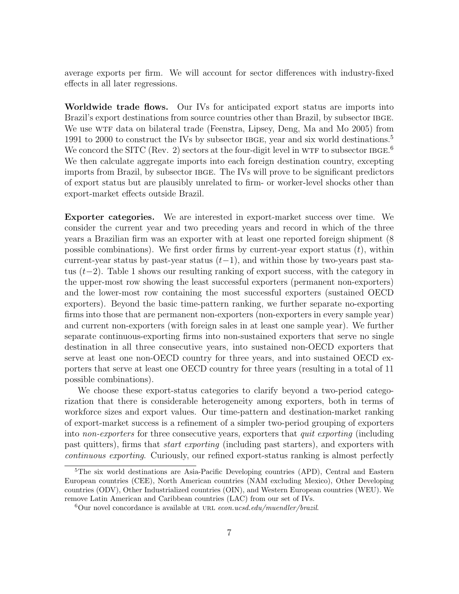average exports per firm. We will account for sector differences with industry-fixed effects in all later regressions.

Worldwide trade flows. Our IVs for anticipated export status are imports into Brazil's export destinations from source countries other than Brazil, by subsector IBGE. We use WTF data on bilateral trade (Feenstra, Lipsey, Deng, Ma and Mo 2005) from 1991 to 2000 to construct the IVs by subsector IBGE, year and six world destinations.<sup>5</sup> We concord the SITC (Rev. 2) sectors at the four-digit level in WTF to subsector  $IBGE$ . We then calculate aggregate imports into each foreign destination country, excepting imports from Brazil, by subsector IBGE. The IVs will prove to be significant predictors of export status but are plausibly unrelated to firm- or worker-level shocks other than export-market effects outside Brazil.

Exporter categories. We are interested in export-market success over time. We consider the current year and two preceding years and record in which of the three years a Brazilian firm was an exporter with at least one reported foreign shipment (8 possible combinations). We first order firms by current-year export status  $(t)$ , within current-year status by past-year status  $(t-1)$ , and within those by two-years past status  $(t-2)$ . Table 1 shows our resulting ranking of export success, with the category in the upper-most row showing the least successful exporters (permanent non-exporters) and the lower-most row containing the most successful exporters (sustained OECD exporters). Beyond the basic time-pattern ranking, we further separate no-exporting firms into those that are permanent non-exporters (non-exporters in every sample year) and current non-exporters (with foreign sales in at least one sample year). We further separate continuous-exporting firms into non-sustained exporters that serve no single destination in all three consecutive years, into sustained non-OECD exporters that serve at least one non-OECD country for three years, and into sustained OECD exporters that serve at least one OECD country for three years (resulting in a total of 11 possible combinations).

We choose these export-status categories to clarify beyond a two-period categorization that there is considerable heterogeneity among exporters, both in terms of workforce sizes and export values. Our time-pattern and destination-market ranking of export-market success is a refinement of a simpler two-period grouping of exporters into *non-exporters* for three consecutive years, exporters that *quit exporting* (including past quitters), firms that start exporting (including past starters), and exporters with continuous exporting. Curiously, our refined export-status ranking is almost perfectly

<sup>&</sup>lt;sup>5</sup>The six world destinations are Asia-Pacific Developing countries (APD), Central and Eastern European countries (CEE), North American countries (NAM excluding Mexico), Other Developing countries (ODV), Other Industrialized countries (OIN), and Western European countries (WEU). We remove Latin American and Caribbean countries (LAC) from our set of IVs.

 $6$ Our novel concordance is available at URL econ.ucsd.edu/muendler/brazil.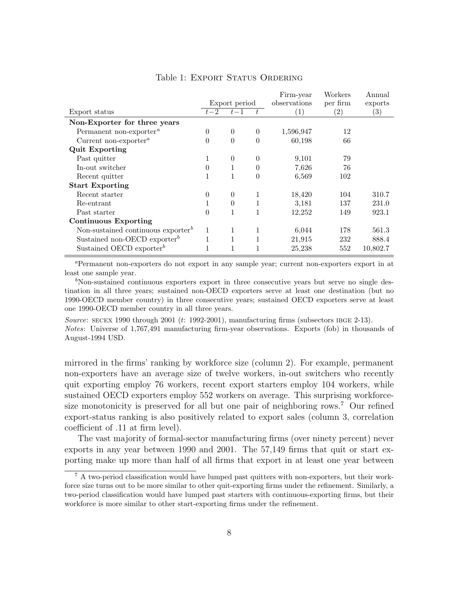|                                                |                |              |              | Firm-year        | Workers           | Annual            |
|------------------------------------------------|----------------|--------------|--------------|------------------|-------------------|-------------------|
|                                                | Export period  |              | observations | per firm         | exports           |                   |
| Export status                                  | $t-2$          | $t-1$        |              | $\left(1\right)$ | $\left( 2\right)$ | $\left( 3\right)$ |
| Non-Exporter for three years                   |                |              |              |                  |                   |                   |
| Permanent non-exporter <sup>a</sup>            | 0              | $\theta$     | $\theta$     | 1,596,947        | 12                |                   |
| Current non-exporter <sup><math>a</math></sup> | 0              | $\theta$     | $\theta$     | 60,198           | 66                |                   |
| <b>Quit Exporting</b>                          |                |              |              |                  |                   |                   |
| Past quitter                                   | 1              | $\theta$     | $\Omega$     | 9,101            | 79                |                   |
| In-out switcher                                | $\overline{0}$ | 1            | $\Omega$     | 7,626            | 76                |                   |
| Recent quitter                                 | 1              |              | $\Omega$     | 6,569            | 102               |                   |
| <b>Start Exporting</b>                         |                |              |              |                  |                   |                   |
| Recent starter                                 | 0              | $\theta$     | 1            | 18,420           | 104               | 310.7             |
| Re-entrant                                     | 1              | $\theta$     | 1            | 3,181            | 137               | 231.0             |
| Past starter                                   | 0              | 1            | 1            | 12,252           | 149               | 923.1             |
| Continuous Exporting                           |                |              |              |                  |                   |                   |
| Non-sustained continuous exporter <sup>b</sup> | 1              |              |              | 6,044            | 178               | 561.3             |
| Sustained non-OECD exporter <sup>b</sup>       | 1              | $\mathbf{1}$ |              | 21,915           | 232               | 888.4             |
| Sustained OECD exporter <sup>b</sup>           | 1              | 1            |              | 25,238           | 552               | 10,802.7          |

#### Table 1: EXPORT STATUS ORDERING

<sup>a</sup>Permanent non-exporters do not export in any sample year; current non-exporters export in at least one sample year.

 $b_{\text{Non-sustained continuous exports export}}$  in three consecutive years but serve no single destination in all three years; sustained non-OECD exporters serve at least one destination (but no 1990-OECD member country) in three consecutive years; sustained OECD exporters serve at least one 1990-OECD member country in all three years.

Source: SECEX 1990 through 2001 (t: 1992-2001), manufacturing firms (subsectors IBGE 2-13).

Notes: Universe of 1,767,491 manufacturing firm-year observations. Exports (fob) in thousands of August-1994 USD.

mirrored in the firms' ranking by workforce size (column 2). For example, permanent non-exporters have an average size of twelve workers, in-out switchers who recently quit exporting employ 76 workers, recent export starters employ 104 workers, while sustained OECD exporters employ 552 workers on average. This surprising workforcesize monotonicity is preserved for all but one pair of neighboring rows.<sup>7</sup> Our refined export-status ranking is also positively related to export sales (column 3, correlation coefficient of .11 at firm level).

The vast majority of formal-sector manufacturing firms (over ninety percent) never exports in any year between 1990 and 2001. The 57,149 firms that quit or start exporting make up more than half of all firms that export in at least one year between

<sup>&</sup>lt;sup>7</sup> A two-period classification would have lumped past quitters with non-exporters, but their workforce size turns out to be more similar to other quit-exporting firms under the refinement. Similarly, a two-period classification would have lumped past starters with continuous-exporting firms, but their workforce is more similar to other start-exporting firms under the refinement.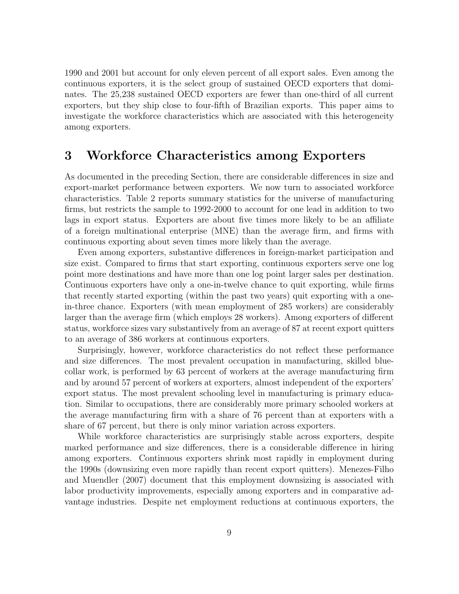1990 and 2001 but account for only eleven percent of all export sales. Even among the continuous exporters, it is the select group of sustained OECD exporters that dominates. The 25,238 sustained OECD exporters are fewer than one-third of all current exporters, but they ship close to four-fifth of Brazilian exports. This paper aims to investigate the workforce characteristics which are associated with this heterogeneity among exporters.

### 3 Workforce Characteristics among Exporters

As documented in the preceding Section, there are considerable differences in size and export-market performance between exporters. We now turn to associated workforce characteristics. Table 2 reports summary statistics for the universe of manufacturing firms, but restricts the sample to 1992-2000 to account for one lead in addition to two lags in export status. Exporters are about five times more likely to be an affiliate of a foreign multinational enterprise (MNE) than the average firm, and firms with continuous exporting about seven times more likely than the average.

Even among exporters, substantive differences in foreign-market participation and size exist. Compared to firms that start exporting, continuous exporters serve one log point more destinations and have more than one log point larger sales per destination. Continuous exporters have only a one-in-twelve chance to quit exporting, while firms that recently started exporting (within the past two years) quit exporting with a onein-three chance. Exporters (with mean employment of 285 workers) are considerably larger than the average firm (which employs 28 workers). Among exporters of different status, workforce sizes vary substantively from an average of 87 at recent export quitters to an average of 386 workers at continuous exporters.

Surprisingly, however, workforce characteristics do not reflect these performance and size differences. The most prevalent occupation in manufacturing, skilled bluecollar work, is performed by 63 percent of workers at the average manufacturing firm and by around 57 percent of workers at exporters, almost independent of the exporters' export status. The most prevalent schooling level in manufacturing is primary education. Similar to occupations, there are considerably more primary schooled workers at the average manufacturing firm with a share of 76 percent than at exporters with a share of 67 percent, but there is only minor variation across exporters.

While workforce characteristics are surprisingly stable across exporters, despite marked performance and size differences, there is a considerable difference in hiring among exporters. Continuous exporters shrink most rapidly in employment during the 1990s (downsizing even more rapidly than recent export quitters). Menezes-Filho and Muendler (2007) document that this employment downsizing is associated with labor productivity improvements, especially among exporters and in comparative advantage industries. Despite net employment reductions at continuous exporters, the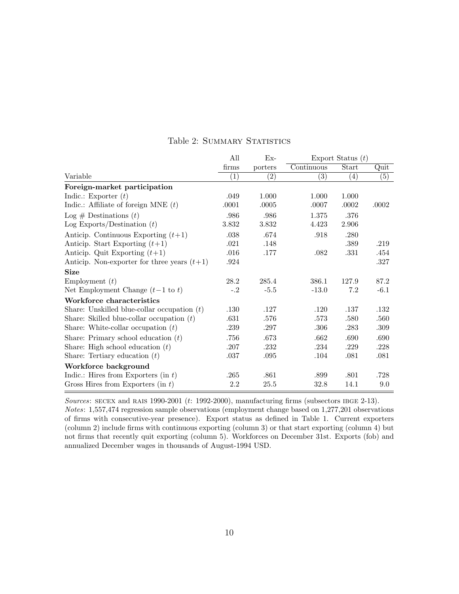|                                               | A <sub>11</sub>        | $Ex-$             |                                | Export Status $(t)$ |        |
|-----------------------------------------------|------------------------|-------------------|--------------------------------|---------------------|--------|
|                                               | $\operatorname{firms}$ | porters           | $\overline{\text{Continuous}}$ | Start               | Quit   |
| Variable                                      | $\left  \right $       | $\left( 2\right)$ | $\overline{(3)}$               | $\left(4\right)$    | (5)    |
| Foreign-market participation                  |                        |                   |                                |                     |        |
| Indic.: Exporter $(t)$                        | .049                   | 1.000             | 1.000                          | 1.000               |        |
| Indic.: Affiliate of foreign MNE $(t)$        | .0001                  | .0005             | .0007                          | .0002               | .0002  |
| $\text{Log} \# \text{Definitions } (t)$       | .986                   | .986              | 1.375                          | .376                |        |
| Log Exports/Destination $(t)$                 | 3.832                  | 3.832             | 4.423                          | 2.906               |        |
| Anticip. Continuous Exporting $(t+1)$         | $.038\,$               | .674              | .918                           | .280                |        |
| Anticip. Start Exporting $(t+1)$              | .021                   | .148              |                                | .389                | .219   |
| Anticip. Quit Exporting $(t+1)$               | .016                   | .177              | .082                           | .331                | .454   |
| Anticip. Non-exporter for three years $(t+1)$ | .924                   |                   |                                |                     | .327   |
| <b>Size</b>                                   |                        |                   |                                |                     |        |
| Employment $(t)$                              | 28.2                   | 285.4             | 386.1                          | 127.9               | 87.2   |
| Net Employment Change $(t-1$ to t)            | $-.2$                  | $-5.5$            | $-13.0$                        | $7.2\,$             | $-6.1$ |
| Workforce characteristics                     |                        |                   |                                |                     |        |
| Share: Unskilled blue-collar occupation $(t)$ | .130                   | .127              | .120                           | .137                | .132   |
| Share: Skilled blue-collar occupation $(t)$   | .631                   | .576              | .573                           | .580                | .560   |
| Share: White-collar occupation $(t)$          | .239                   | .297              | .306                           | .283                | .309   |
| Share: Primary school education $(t)$         | .756                   | .673              | .662                           | .690                | .690   |
| Share: High school education $(t)$            | .207                   | .232              | .234                           | .229                | .228   |
| Share: Tertiary education $(t)$               | .037                   | .095              | .104                           | .081                | .081   |
| Workforce background                          |                        |                   |                                |                     |        |
| Indic.: Hires from Exporters (in $t$ )        | .265                   | .861              | .899                           | .801                | .728   |
| Gross Hires from Exporters (in $t$ )          | 2.2                    | 25.5              | 32.8                           | 14.1                | 9.0    |

### Table 2: SUMMARY STATISTICS

Sources: SECEX and RAIS 1990-2001 ( $t$ : 1992-2000), manufacturing firms (subsectors IBGE 2-13). Notes: 1,557,474 regression sample observations (employment change based on 1,277,201 observations of firms with consecutive-year presence). Export status as defined in Table 1. Current exporters (column 2) include firms with continuous exporting (column 3) or that start exporting (column 4) but not firms that recently quit exporting (column 5). Workforces on December 31st. Exports (fob) and annualized December wages in thousands of August-1994 USD.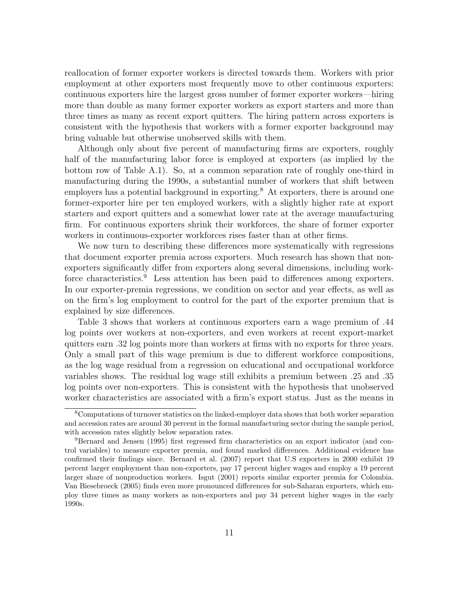reallocation of former exporter workers is directed towards them. Workers with prior employment at other exporters most frequently move to other continuous exporters: continuous exporters hire the largest gross number of former exporter workers—hiring more than double as many former exporter workers as export starters and more than three times as many as recent export quitters. The hiring pattern across exporters is consistent with the hypothesis that workers with a former exporter background may bring valuable but otherwise unobserved skills with them.

Although only about five percent of manufacturing firms are exporters, roughly half of the manufacturing labor force is employed at exporters (as implied by the bottom row of Table A.1). So, at a common separation rate of roughly one-third in manufacturing during the 1990s, a substantial number of workers that shift between employers has a potential background in exporting.<sup>8</sup> At exporters, there is around one former-exporter hire per ten employed workers, with a slightly higher rate at export starters and export quitters and a somewhat lower rate at the average manufacturing firm. For continuous exporters shrink their workforces, the share of former exporter workers in continuous-exporter workforces rises faster than at other firms.

We now turn to describing these differences more systematically with regressions that document exporter premia across exporters. Much research has shown that nonexporters significantly differ from exporters along several dimensions, including workforce characteristics.<sup>9</sup> Less attention has been paid to differences among exporters. In our exporter-premia regressions, we condition on sector and year effects, as well as on the firm's log employment to control for the part of the exporter premium that is explained by size differences.

Table 3 shows that workers at continuous exporters earn a wage premium of .44 log points over workers at non-exporters, and even workers at recent export-market quitters earn .32 log points more than workers at firms with no exports for three years. Only a small part of this wage premium is due to different workforce compositions, as the log wage residual from a regression on educational and occupational workforce variables shows. The residual log wage still exhibits a premium between .25 and .35 log points over non-exporters. This is consistent with the hypothesis that unobserved worker characteristics are associated with a firm's export status. Just as the means in

<sup>8</sup>Computations of turnover statistics on the linked-employer data shows that both worker separation and accession rates are around 30 percent in the formal manufacturing sector during the sample period, with accession rates slightly below separation rates.

<sup>9</sup>Bernard and Jensen (1995) first regressed firm characteristics on an export indicator (and control variables) to measure exporter premia, and found marked differences. Additional evidence has confirmed their findings since. Bernard et al. (2007) report that U.S exporters in 2000 exhibit 19 percent larger employment than non-exporters, pay 17 percent higher wages and employ a 19 percent larger share of nonproduction workers. Isgut (2001) reports similar exporter premia for Colombia. Van Biesebroeck (2005) finds even more pronounced differences for sub-Saharan exporters, which employ three times as many workers as non-exporters and pay 34 percent higher wages in the early 1990s.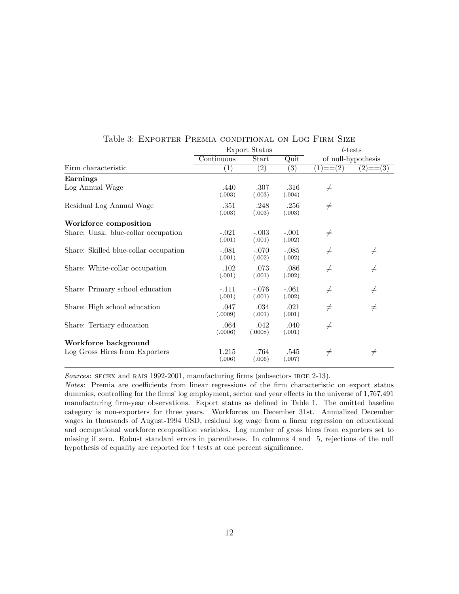| Export Status                         |                   |                   |                   | $t$ -tests |                    |  |
|---------------------------------------|-------------------|-------------------|-------------------|------------|--------------------|--|
|                                       | Continuous        | Start             | Quit              |            | of null-hypothesis |  |
| Firm characteristic                   | $\left( 1\right)$ | $\left( 2\right)$ | $\left( 3\right)$ | $(1)==(2)$ | $(2)==(3)$         |  |
| Earnings                              |                   |                   |                   |            |                    |  |
| Log Annual Wage                       | .440<br>(.003)    | .307<br>(.003)    | .316<br>(.004)    | $\neq$     |                    |  |
| Residual Log Annual Wage              | .351<br>(.003)    | .248<br>(.003)    | .256<br>(.003)    | $\neq$     |                    |  |
| Workforce composition                 |                   |                   |                   |            |                    |  |
| Share: Unsk. blue-collar occupation   | $-.021$<br>(.001) | $-.003$<br>(.001) | $-.001$<br>(.002) | $\neq$     |                    |  |
| Share: Skilled blue-collar occupation | $-.081$<br>(.001) | $-.070$<br>(.002) | $-.085$<br>(.002) | $\neq$     | $\neq$             |  |
| Share: White-collar occupation        | .102<br>(.001)    | .073<br>(.001)    | .086<br>(.002)    | $\neq$     | $\neq$             |  |
| Share: Primary school education       | $-.111$<br>(.001) | $-.076$<br>(.001) | $-.061$<br>(.002) | $\neq$     | $\neq$             |  |
| Share: High school education          | .047<br>(.0009)   | .034<br>(.001)    | .021<br>(.001)    | $\neq$     | $\neq$             |  |
| Share: Tertiary education             | .064<br>(.0006)   | .042<br>(.0008)   | .040<br>(.001)    | $\neq$     |                    |  |
| Workforce background                  |                   |                   |                   |            |                    |  |
| Log Gross Hires from Exporters        | 1.215<br>(.006)   | .764<br>(.006)    | .545<br>(.007)    | $\neq$     | $\neq$             |  |

### Table 3: Exporter Premia conditional on Log Firm Size

Sources: SECEX and RAIS 1992-2001, manufacturing firms (subsectors IBGE 2-13).

Notes: Premia are coefficients from linear regressions of the firm characteristic on export status dummies, controlling for the firms' log employment, sector and year effects in the universe of 1,767,491 manufacturing firm-year observations. Export status as defined in Table 1. The omitted baseline category is non-exporters for three years. Workforces on December 31st. Annualized December wages in thousands of August-1994 USD, residual log wage from a linear regression on educational and occupational workforce composition variables. Log number of gross hires from exporters set to missing if zero. Robust standard errors in parentheses. In columns 4 and 5, rejections of the null hypothesis of equality are reported for  $t$  tests at one percent significance.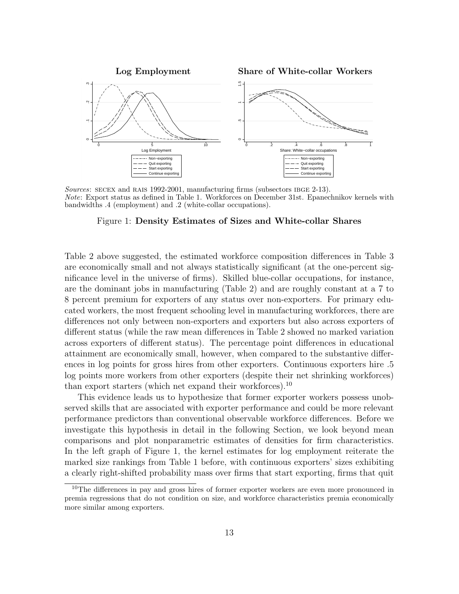

Sources: SECEX and RAIS 1992-2001, manufacturing firms (subsectors IBGE 2-13). Note: Export status as defined in Table 1. Workforces on December 31st. Epanechnikov kernels with bandwidths .4 (employment) and .2 (white-collar occupations).

Figure 1: Density Estimates of Sizes and White-collar Shares

Table 2 above suggested, the estimated workforce composition differences in Table 3 are economically small and not always statistically significant (at the one-percent significance level in the universe of firms). Skilled blue-collar occupations, for instance, are the dominant jobs in manufacturing (Table 2) and are roughly constant at a 7 to 8 percent premium for exporters of any status over non-exporters. For primary educated workers, the most frequent schooling level in manufacturing workforces, there are differences not only between non-exporters and exporters but also across exporters of different status (while the raw mean differences in Table 2 showed no marked variation across exporters of different status). The percentage point differences in educational attainment are economically small, however, when compared to the substantive differences in log points for gross hires from other exporters. Continuous exporters hire .5 log points more workers from other exporters (despite their net shrinking workforces) than export starters (which net expand their workforces).<sup>10</sup>

This evidence leads us to hypothesize that former exporter workers possess unobserved skills that are associated with exporter performance and could be more relevant performance predictors than conventional observable workforce differences. Before we investigate this hypothesis in detail in the following Section, we look beyond mean comparisons and plot nonparametric estimates of densities for firm characteristics. In the left graph of Figure 1, the kernel estimates for log employment reiterate the marked size rankings from Table 1 before, with continuous exporters' sizes exhibiting a clearly right-shifted probability mass over firms that start exporting, firms that quit

<sup>&</sup>lt;sup>10</sup>The differences in pay and gross hires of former exporter workers are even more pronounced in premia regressions that do not condition on size, and workforce characteristics premia economically more similar among exporters.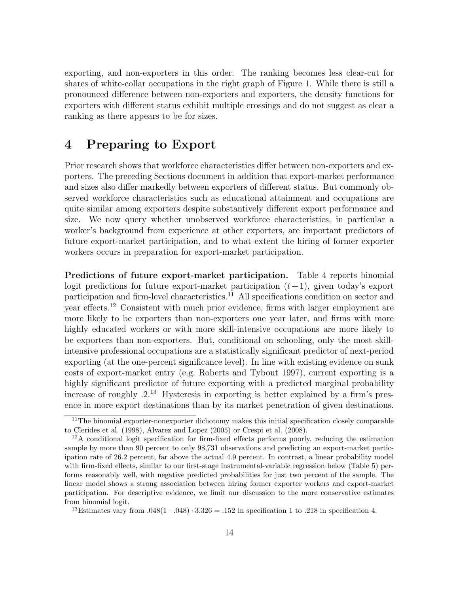exporting, and non-exporters in this order. The ranking becomes less clear-cut for shares of white-collar occupations in the right graph of Figure 1. While there is still a pronounced difference between non-exporters and exporters, the density functions for exporters with different status exhibit multiple crossings and do not suggest as clear a ranking as there appears to be for sizes.

### 4 Preparing to Export

Prior research shows that workforce characteristics differ between non-exporters and exporters. The preceding Sections document in addition that export-market performance and sizes also differ markedly between exporters of different status. But commonly observed workforce characteristics such as educational attainment and occupations are quite similar among exporters despite substantively different export performance and size. We now query whether unobserved workforce characteristics, in particular a worker's background from experience at other exporters, are important predictors of future export-market participation, and to what extent the hiring of former exporter workers occurs in preparation for export-market participation.

Predictions of future export-market participation. Table 4 reports binomial logit predictions for future export-market participation  $(t+1)$ , given today's export participation and firm-level characteristics.<sup>11</sup> All specifications condition on sector and year effects.<sup>12</sup> Consistent with much prior evidence, firms with larger employment are more likely to be exporters than non-exporters one year later, and firms with more highly educated workers or with more skill-intensive occupations are more likely to be exporters than non-exporters. But, conditional on schooling, only the most skillintensive professional occupations are a statistically significant predictor of next-period exporting (at the one-percent significance level). In line with existing evidence on sunk costs of export-market entry (e.g. Roberts and Tybout 1997), current exporting is a highly significant predictor of future exporting with a predicted marginal probability increase of roughly .2.<sup>13</sup> Hysteresis in exporting is better explained by a firm's presence in more export destinations than by its market penetration of given destinations.

 $11$ The binomial exporter-nonexporter dichotomy makes this initial specification closely comparable to Clerides et al. (1998), Alvarez and Lopez (2005) or Crespi et al. (2008).

 $12A$  conditional logit specification for firm-fixed effects performs poorly, reducing the estimation sample by more than 90 percent to only 98,731 observations and predicting an export-market participation rate of 26.2 percent, far above the actual 4.9 percent. In contrast, a linear probability model with firm-fixed effects, similar to our first-stage instrumental-variable regression below (Table 5) performs reasonably well, with negative predicted probabilities for just two percent of the sample. The linear model shows a strong association between hiring former exporter workers and export-market participation. For descriptive evidence, we limit our discussion to the more conservative estimates from binomial logit.

<sup>&</sup>lt;sup>13</sup>Estimates vary from  $.048(1-.048) \cdot 3.326 = .152$  in specification 1 to .218 in specification 4.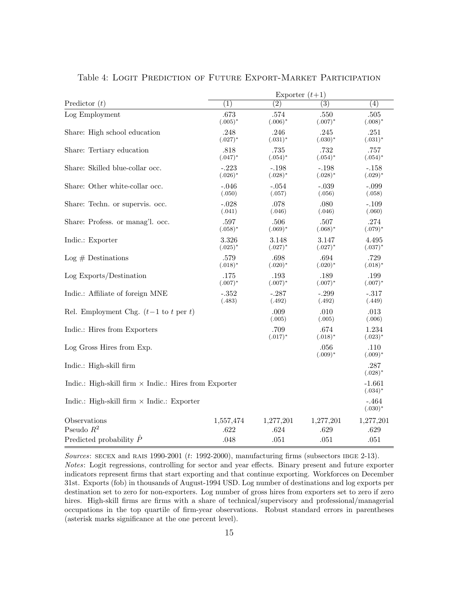|                                                              |            | Exporter $(t+1)$   |                    |                       |
|--------------------------------------------------------------|------------|--------------------|--------------------|-----------------------|
| Predictor $(t)$                                              | (1)        | $\left( 2\right)$  | (3)                | $\left( 4\right)$     |
| Log Employment                                               | .673       | .574               | .550               | .505                  |
|                                                              | $(.005)^*$ | $(.006)^*$         | $(.007)^*$         | $(.008)*$             |
| Share: High school education                                 | .248       | .246               | .245               | .251                  |
|                                                              | $(.027)^*$ | $(.031)^*$         | $(.030)*$          | $(.031)^*$            |
| Share: Tertiary education                                    | .818       | .735               | .732               | .757                  |
|                                                              | $(.047)^*$ | $(.054)^*$         | $(.054)^*$         | $(.054)^*$            |
| Share: Skilled blue-collar occ.                              | $-.223$    | $-.198$            | $-.198$            | $-.158$               |
|                                                              | $(.026)^*$ | $(.028)^*$         | $(.028)^*$         | $(.029)^*$            |
| Share: Other white-collar occ.                               | $-.046$    | $-.054$            | $-.039$            | $-.099$               |
|                                                              | (.050)     | (.057)             | (.056)             | (.058)                |
| Share: Techn. or supervis. occ.                              | $-.028$    | .078               | .080               | $-.109$               |
|                                                              | (.041)     | (.046)             | (.046)             | (.060)                |
| Share: Profess. or manag'l. occ.                             | .597       | .506               | .507               | .274                  |
|                                                              | $(.058)^*$ | $(.069)^*$         | $(.068)^*$         | $(.079)^*$            |
| Indic.: Exporter                                             | 3.326      | 3.148              | 3.147              | 4.495                 |
|                                                              | $(.025)^*$ | $(.027)^*$         | $(.027)^*$         | $(.037)^*$            |
| $Log$ # Destinations                                         | .579       | .698               | .694               | .729                  |
|                                                              | $(.018)^*$ | $(.020)*$          | $(.020)^*$         | $(.018)^*$            |
| Log Exports/Destination                                      | .175       | .193               | .189               | .199                  |
|                                                              | $(.007)^*$ | $(.007)^*$         | $(.007)^*$         | $(.007)^*$            |
| Indic.: Affiliate of foreign MNE                             | $-.352$    | $-.287$            | $-.299$            | $-.317$               |
|                                                              | (.483)     | (.492)             | (.492)             | (.449)                |
| Rel. Employment Chg. $(t-1$ to t per t)                      |            | .009<br>(.005)     | .010<br>(.005)     | .013<br>(.006)        |
| Indic.: Hires from Exporters                                 |            | .709<br>$(.017)^*$ | .674<br>$(.018)*$  | 1.234<br>$(.023)^*$   |
| Log Gross Hires from Exp.                                    |            |                    | .056<br>$(.009)^*$ | .110<br>$(.009)*$     |
| Indic.: High-skill firm                                      |            |                    |                    | .287<br>$(.028)^*$    |
| Indic.: High-skill firm $\times$ Indic.: Hires from Exporter |            |                    |                    | -1.661<br>$(.034)^*$  |
| Indic.: High-skill firm $\times$ Indic.: Exporter            |            |                    |                    | $-.464$<br>$(.030)^*$ |
| Observations                                                 | 1,557,474  | 1,277,201          | 1,277,201          | 1,277,201             |
| Pseudo $R^2$                                                 | .622       | .624               | .629               | .629                  |
| Predicted probability $\hat{P}$                              | .048       | .051               | .051               | .051                  |
|                                                              |            |                    |                    |                       |

Table 4: Logit Prediction of Future Export-Market Participation

Sources: SECEX and RAIS 1990-2001  $(t: 1992-2000)$ , manufacturing firms (subsectors IBGE 2-13). Notes: Logit regressions, controlling for sector and year effects. Binary present and future exporter indicators represent firms that start exporting and that continue exporting. Workforces on December 31st. Exports (fob) in thousands of August-1994 USD. Log number of destinations and log exports per destination set to zero for non-exporters. Log number of gross hires from exporters set to zero if zero hires. High-skill firms are firms with a share of technical/supervisory and professional/managerial occupations in the top quartile of firm-year observations. Robust standard errors in parentheses (asterisk marks significance at the one percent level).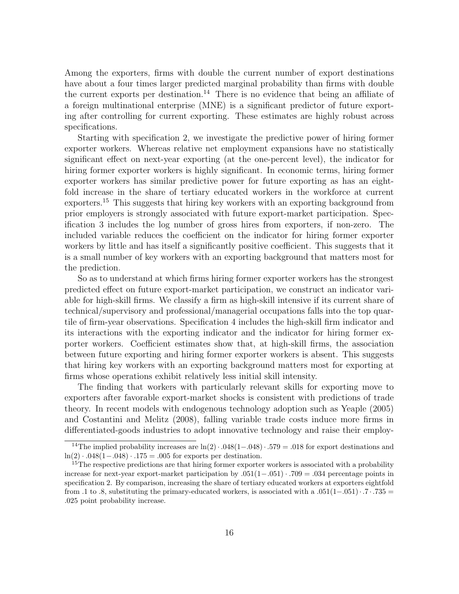Among the exporters, firms with double the current number of export destinations have about a four times larger predicted marginal probability than firms with double the current exports per destination.<sup>14</sup> There is no evidence that being an affiliate of a foreign multinational enterprise (MNE) is a significant predictor of future exporting after controlling for current exporting. These estimates are highly robust across specifications.

Starting with specification 2, we investigate the predictive power of hiring former exporter workers. Whereas relative net employment expansions have no statistically significant effect on next-year exporting (at the one-percent level), the indicator for hiring former exporter workers is highly significant. In economic terms, hiring former exporter workers has similar predictive power for future exporting as has an eightfold increase in the share of tertiary educated workers in the workforce at current exporters.<sup>15</sup> This suggests that hiring key workers with an exporting background from prior employers is strongly associated with future export-market participation. Specification 3 includes the log number of gross hires from exporters, if non-zero. The included variable reduces the coefficient on the indicator for hiring former exporter workers by little and has itself a significantly positive coefficient. This suggests that it is a small number of key workers with an exporting background that matters most for the prediction.

So as to understand at which firms hiring former exporter workers has the strongest predicted effect on future export-market participation, we construct an indicator variable for high-skill firms. We classify a firm as high-skill intensive if its current share of technical/supervisory and professional/managerial occupations falls into the top quartile of firm-year observations. Specification 4 includes the high-skill firm indicator and its interactions with the exporting indicator and the indicator for hiring former exporter workers. Coefficient estimates show that, at high-skill firms, the association between future exporting and hiring former exporter workers is absent. This suggests that hiring key workers with an exporting background matters most for exporting at firms whose operations exhibit relatively less initial skill intensity.

The finding that workers with particularly relevant skills for exporting move to exporters after favorable export-market shocks is consistent with predictions of trade theory. In recent models with endogenous technology adoption such as Yeaple (2005) and Costantini and Melitz (2008), falling variable trade costs induce more firms in differentiated-goods industries to adopt innovative technology and raise their employ-

<sup>&</sup>lt;sup>14</sup>The implied probability increases are  $\ln(2) \cdot .048(1-.048) \cdot .579 = .018$  for export destinations and ln(2) · .048(1−.048) · .175 = .005 for exports per destination.

<sup>&</sup>lt;sup>15</sup>The respective predictions are that hiring former exporter workers is associated with a probability increase for next-year export-market participation by .051(1−.051) · .709 = .034 percentage points in specification 2. By comparison, increasing the share of tertiary educated workers at exporters eightfold from .1 to .8, substituting the primary-educated workers, is associated with a  $.051(1-.051)\cdot$  .7 $\cdot$  .735 = .025 point probability increase.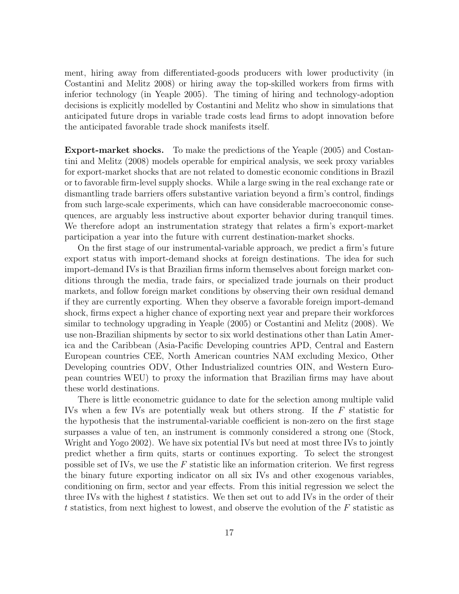ment, hiring away from differentiated-goods producers with lower productivity (in Costantini and Melitz 2008) or hiring away the top-skilled workers from firms with inferior technology (in Yeaple 2005). The timing of hiring and technology-adoption decisions is explicitly modelled by Costantini and Melitz who show in simulations that anticipated future drops in variable trade costs lead firms to adopt innovation before the anticipated favorable trade shock manifests itself.

Export-market shocks. To make the predictions of the Yeaple (2005) and Costantini and Melitz (2008) models operable for empirical analysis, we seek proxy variables for export-market shocks that are not related to domestic economic conditions in Brazil or to favorable firm-level supply shocks. While a large swing in the real exchange rate or dismantling trade barriers offers substantive variation beyond a firm's control, findings from such large-scale experiments, which can have considerable macroeconomic consequences, are arguably less instructive about exporter behavior during tranquil times. We therefore adopt an instrumentation strategy that relates a firm's export-market participation a year into the future with current destination-market shocks.

On the first stage of our instrumental-variable approach, we predict a firm's future export status with import-demand shocks at foreign destinations. The idea for such import-demand IVs is that Brazilian firms inform themselves about foreign market conditions through the media, trade fairs, or specialized trade journals on their product markets, and follow foreign market conditions by observing their own residual demand if they are currently exporting. When they observe a favorable foreign import-demand shock, firms expect a higher chance of exporting next year and prepare their workforces similar to technology upgrading in Yeaple (2005) or Costantini and Melitz (2008). We use non-Brazilian shipments by sector to six world destinations other than Latin America and the Caribbean (Asia-Pacific Developing countries APD, Central and Eastern European countries CEE, North American countries NAM excluding Mexico, Other Developing countries ODV, Other Industrialized countries OIN, and Western European countries WEU) to proxy the information that Brazilian firms may have about these world destinations.

There is little econometric guidance to date for the selection among multiple valid IVs when a few IVs are potentially weak but others strong. If the F statistic for the hypothesis that the instrumental-variable coefficient is non-zero on the first stage surpasses a value of ten, an instrument is commonly considered a strong one (Stock, Wright and Yogo 2002). We have six potential IVs but need at most three IVs to jointly predict whether a firm quits, starts or continues exporting. To select the strongest possible set of IVs, we use the  $F$  statistic like an information criterion. We first regress the binary future exporting indicator on all six IVs and other exogenous variables, conditioning on firm, sector and year effects. From this initial regression we select the three IVs with the highest  $t$  statistics. We then set out to add IVs in the order of their t statistics, from next highest to lowest, and observe the evolution of the F statistic as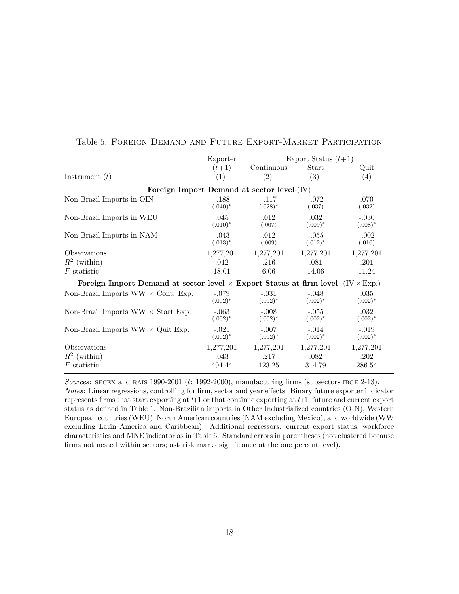|                                                                                               | Exporter              |                       | Export Status $(t+1)$ |                       |  |
|-----------------------------------------------------------------------------------------------|-----------------------|-----------------------|-----------------------|-----------------------|--|
|                                                                                               | $(t+1)$               | Continuous            | Start                 | Quit                  |  |
| Instrument $(t)$                                                                              | 1                     | $\left( 2\right)$     | (3)                   | (4)                   |  |
| Foreign Import Demand at sector level (IV)                                                    |                       |                       |                       |                       |  |
| Non-Brazil Imports in OIN                                                                     | $-.188$<br>$(.040)^*$ | $-.117$<br>$(.028)^*$ | $-.072$<br>(.037)     | .070<br>(.032)        |  |
| Non-Brazil Imports in WEU                                                                     | .045<br>$(.010)^*$    | .012<br>(.007)        | .032<br>$(.009)^*$    | $-.030$<br>$(.008)^*$ |  |
| Non-Brazil Imports in NAM                                                                     | $-.043$<br>$(.013)^*$ | .012<br>(.009)        | $-.055$<br>$(.012)^*$ | $-.002$<br>(.010)     |  |
| Observations                                                                                  | 1,277,201             | 1,277,201             | 1,277,201             | 1,277,201             |  |
| $R^2$ (within)                                                                                | .042                  | .216                  | .081                  | .201                  |  |
| $F$ statistic                                                                                 | 18.01                 | 6.06                  | 14.06                 | 11.24                 |  |
| Foreign Import Demand at sector level $\times$ Export Status at firm level $(IV \times Exp.)$ |                       |                       |                       |                       |  |
| Non-Brazil Imports $WW \times$ Cont. Exp.                                                     | $-.079$<br>$(.002)^*$ | $-.031$<br>$(.002)^*$ | $-.048$<br>$(.002)^*$ | .035<br>$(.002)^*$    |  |
| Non-Brazil Imports $WW \times$ Start Exp.                                                     | $-.063$<br>$(.002)^*$ | $-.008$<br>$(.002)^*$ | $-.055$<br>$(.002)^*$ | .032<br>$(.002)^*$    |  |
| Non-Brazil Imports $WW \times Q$ uit Exp.                                                     | $-.021$<br>$(.002)^*$ | $-.007$<br>$(.002)^*$ | $-.014$<br>$(.002)^*$ | $-.019$<br>$(.002)^*$ |  |
| Observations                                                                                  | 1,277,201             | 1,277,201             | 1,277,201             | 1,277,201             |  |
| $R^2$ (within)                                                                                | .043                  | .217                  | .082                  | .202                  |  |
| $F$ statistic                                                                                 | 494.44                | 123.25                | 314.79                | 286.54                |  |

#### Table 5: Foreign Demand and Future Export-Market Participation

Sources: SECEX and RAIS 1990-2001  $(t: 1992-2000)$ , manufacturing firms (subsectors IBGE 2-13). Notes: Linear regressions, controlling for firm, sector and year effects. Binary future exporter indicator represents firms that start exporting at  $t+1$  or that continue exporting at  $t+1$ ; future and current export status as defined in Table 1. Non-Brazilian imports in Other Industrialized countries (OIN), Western European countries (WEU), North American countries (NAM excluding Mexico), and worldwide (WW excluding Latin America and Caribbean). Additional regressors: current export status, workforce characteristics and MNE indicator as in Table 6. Standard errors in parentheses (not clustered because firms not nested within sectors; asterisk marks significance at the one percent level).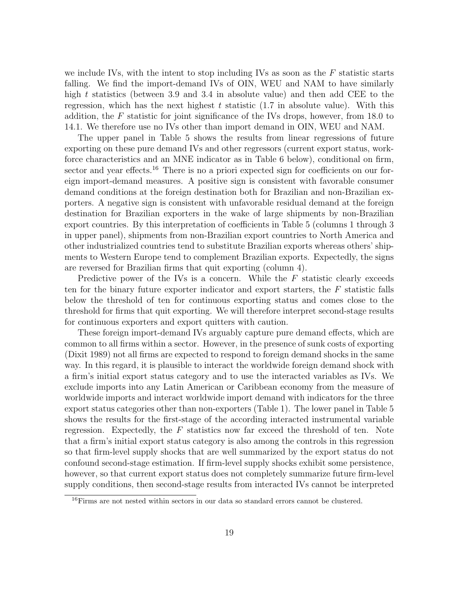we include IVs, with the intent to stop including IVs as soon as the  $F$  statistic starts falling. We find the import-demand IVs of OIN, WEU and NAM to have similarly high t statistics (between 3.9 and 3.4 in absolute value) and then add CEE to the regression, which has the next highest  $t$  statistic (1.7 in absolute value). With this addition, the  $F$  statistic for joint significance of the IVs drops, however, from 18.0 to 14.1. We therefore use no IVs other than import demand in OIN, WEU and NAM.

The upper panel in Table 5 shows the results from linear regressions of future exporting on these pure demand IVs and other regressors (current export status, workforce characteristics and an MNE indicator as in Table 6 below), conditional on firm, sector and year effects.<sup>16</sup> There is no a priori expected sign for coefficients on our foreign import-demand measures. A positive sign is consistent with favorable consumer demand conditions at the foreign destination both for Brazilian and non-Brazilian exporters. A negative sign is consistent with unfavorable residual demand at the foreign destination for Brazilian exporters in the wake of large shipments by non-Brazilian export countries. By this interpretation of coefficients in Table 5 (columns 1 through 3 in upper panel), shipments from non-Brazilian export countries to North America and other industrialized countries tend to substitute Brazilian exports whereas others' shipments to Western Europe tend to complement Brazilian exports. Expectedly, the signs are reversed for Brazilian firms that quit exporting (column 4).

Predictive power of the IVs is a concern. While the  $F$  statistic clearly exceeds ten for the binary future exporter indicator and export starters, the  $F$  statistic falls below the threshold of ten for continuous exporting status and comes close to the threshold for firms that quit exporting. We will therefore interpret second-stage results for continuous exporters and export quitters with caution.

These foreign import-demand IVs arguably capture pure demand effects, which are common to all firms within a sector. However, in the presence of sunk costs of exporting (Dixit 1989) not all firms are expected to respond to foreign demand shocks in the same way. In this regard, it is plausible to interact the worldwide foreign demand shock with a firm's initial export status category and to use the interacted variables as IVs. We exclude imports into any Latin American or Caribbean economy from the measure of worldwide imports and interact worldwide import demand with indicators for the three export status categories other than non-exporters (Table 1). The lower panel in Table 5 shows the results for the first-stage of the according interacted instrumental variable regression. Expectedly, the  $F$  statistics now far exceed the threshold of ten. Note that a firm's initial export status category is also among the controls in this regression so that firm-level supply shocks that are well summarized by the export status do not confound second-stage estimation. If firm-level supply shocks exhibit some persistence, however, so that current export status does not completely summarize future firm-level supply conditions, then second-stage results from interacted IVs cannot be interpreted

<sup>16</sup>Firms are not nested within sectors in our data so standard errors cannot be clustered.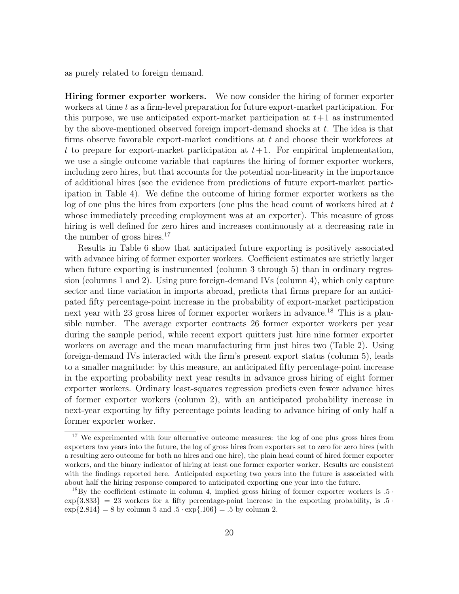as purely related to foreign demand.

Hiring former exporter workers. We now consider the hiring of former exporter workers at time  $t$  as a firm-level preparation for future export-market participation. For this purpose, we use anticipated export-market participation at  $t+1$  as instrumented by the above-mentioned observed foreign import-demand shocks at t. The idea is that firms observe favorable export-market conditions at  $t$  and choose their workforces at t to prepare for export-market participation at  $t+1$ . For empirical implementation, we use a single outcome variable that captures the hiring of former exporter workers, including zero hires, but that accounts for the potential non-linearity in the importance of additional hires (see the evidence from predictions of future export-market participation in Table 4). We define the outcome of hiring former exporter workers as the log of one plus the hires from exporters (one plus the head count of workers hired at  $t$ whose immediately preceding employment was at an exporter). This measure of gross hiring is well defined for zero hires and increases continuously at a decreasing rate in the number of gross hires. $17$ 

Results in Table 6 show that anticipated future exporting is positively associated with advance hiring of former exporter workers. Coefficient estimates are strictly larger when future exporting is instrumented (column 3 through 5) than in ordinary regression (columns 1 and 2). Using pure foreign-demand IVs (column 4), which only capture sector and time variation in imports abroad, predicts that firms prepare for an anticipated fifty percentage-point increase in the probability of export-market participation next year with 23 gross hires of former exporter workers in advance.<sup>18</sup> This is a plausible number. The average exporter contracts 26 former exporter workers per year during the sample period, while recent export quitters just hire nine former exporter workers on average and the mean manufacturing firm just hires two (Table 2). Using foreign-demand IVs interacted with the firm's present export status (column 5), leads to a smaller magnitude: by this measure, an anticipated fifty percentage-point increase in the exporting probability next year results in advance gross hiring of eight former exporter workers. Ordinary least-squares regression predicts even fewer advance hires of former exporter workers (column 2), with an anticipated probability increase in next-year exporting by fifty percentage points leading to advance hiring of only half a former exporter worker.

<sup>&</sup>lt;sup>17</sup> We experimented with four alternative outcome measures: the log of one plus gross hires from exporters two years into the future, the log of gross hires from exporters set to zero for zero hires (with a resulting zero outcome for both no hires and one hire), the plain head count of hired former exporter workers, and the binary indicator of hiring at least one former exporter worker. Results are consistent with the findings reported here. Anticipated exporting two years into the future is associated with about half the hiring response compared to anticipated exporting one year into the future.

<sup>&</sup>lt;sup>18</sup>By the coefficient estimate in column 4, implied gross hiring of former exporter workers is  $.5 \cdot$  $\exp\{3.833\}$  = 23 workers for a fifty percentage-point increase in the exporting probability, is .5 ·  $\exp\{2.814\} = 8$  by column 5 and  $.5 \cdot \exp\{.106\} = .5$  by column 2.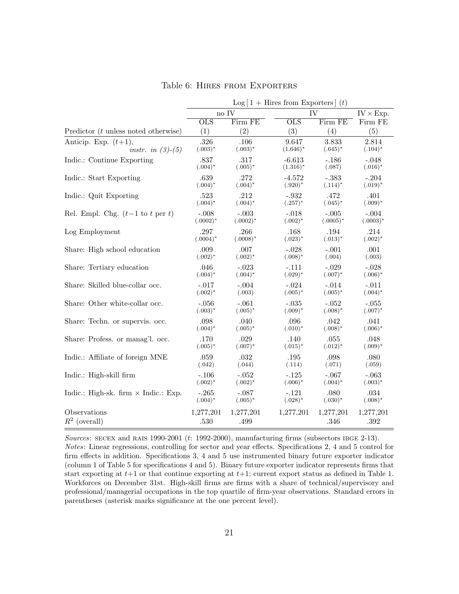|                                             |                         |             | $Log[1 + Hires from Exporters]$ | (t)         |                  |
|---------------------------------------------|-------------------------|-------------|---------------------------------|-------------|------------------|
|                                             | no IV                   |             | IV                              |             | $IV \times Exp.$ |
|                                             | $\overline{\text{OLS}}$ | Firm FE     | $\overline{\text{OLS}}$         | Firm FE     | Firm FE          |
| Predictor $(t$ unless noted otherwise)      | (1)                     | (2)         | (3)                             | (4)         | (5)              |
| Anticip. Exp. $(t+1)$ ,                     | .326                    | .106        | 9.647                           | 3.833       | 2.814            |
| instr. in $(3)-(5)$                         | $(.003)^*$              | $(.003)^*$  | $(1.646)^*$                     | $(.645)^*$  | $(.104)^*$       |
| Indic.: Continue Exporting                  | .837                    | .317        | $-6.613$                        | $-.186$     | $-.048$          |
|                                             | $(.004)^*$              | $(.005)^*$  | $(1.316)^*$                     | (.087)      | $(.016)*$        |
| Indic.: Start Exporting                     | .639                    | .272        | $-4.572$                        | $-.383$     | $-.204$          |
|                                             | $(.004)^*$              | $(.004)^*$  | $(.920)^*$                      | $(.114)^*$  | $(.019)^*$       |
| Indic.: Quit Exporting                      | .523                    | .212        | $-.932$                         | .472        | .401             |
|                                             | $(.004)^*$              | $(.004)^*$  | $(.257)^*$                      | $(.045)^*$  | $(.009)^*$       |
| Rel. Empl. Chg. $(t-1$ to t per t)          | $-.008$                 | $-.003$     | $-.018$                         | $-.005$     | $-.004$          |
|                                             | $(.0002)*$              | $(.0002)^*$ | $(.002)^*$                      | $(.0005)^*$ | $(.0003)^*$      |
| Log Employment                              | .297                    | .266        | .168                            | .194        | .214             |
|                                             | $(.0004)*$              | $(.0008)*$  | $(.023)^*$                      | $(.013)^*$  | $(.002)^*$       |
| Share: High school education                | .009                    | .007        | $-.028$                         | $-.001$     | .001             |
|                                             | $(.002)^*$              | $(.002)^*$  | $(.008)^*$                      | (.004)      | (.003)           |
| Share: Tertiary education                   | .046                    | $-.023$     | $-.111$                         | $-.029$     | $-.028$          |
|                                             | $(.004)^*$              | $(.004)^*$  | $(.029)^*$                      | $(.007)^*$  | $(.006)^*$       |
| Share: Skilled blue-collar occ.             | $-.017$                 | $-.004$     | $-.024$                         | $-.014$     | $-.011$          |
|                                             | $(.002)^*$              | (.003)      | $(.005)^*$                      | $(.005)^*$  | $(.004)^*$       |
| Share: Other white-collar occ.              | $-.056$                 | $-.061$     | $-.035$                         | $-.052$     | $-.055$          |
|                                             | $(.003)^*$              | $(.005)^*$  | $(.009)^*$                      | $(.008)^*$  | $(.007)^*$       |
| Share: Techn. or supervis. occ.             | .098                    | .040        | .096                            | .042        | .041             |
|                                             | $(.004)*$               | $(.005)^*$  | $(.010)*$                       | $(.008)^*$  | $(.006)^*$       |
| Share: Profess. or manag'l. occ.            | .170                    | .029        | .140                            | .055        | .048             |
|                                             | $(.005)^*$              | $(.007)^*$  | $(.015)^*$                      | $(.012)^*$  | $(.009)^*$       |
| Indic.: Affiliate of foreign MNE            | .059                    | .032        | .195                            | .098        | .080             |
|                                             | (.042)                  | (.044)      | (.114)                          | (.071)      | (.059)           |
| Indic.: High-skill firm                     | $-.106$                 | $-.052$     | $-.125$                         | $-.067$     | $-.063$          |
|                                             | $(.002)^*$              | $(.002)^*$  | $(.006)^*$                      | $(.004)^*$  | $(.003)*$        |
| Indic.: High-sk. firm $\times$ Indic.: Exp. | $-.265$                 | $-.087$     | $-.121$                         | .080        | .034             |
|                                             | $(.004)^*$              | $(.005)^*$  | $(.028)^*$                      | $(.030)^*$  | $(.008)^*$       |
| Observations                                | 1,277,201               | 1,277,201   | 1,277,201                       | 1,277,201   | 1,277,201        |
| $R^2$ (overall)                             | .530                    | .499        |                                 | .346        | .392             |

Table 6: Hires from Exporters

Sources: SECEX and RAIS 1990-2001  $(t: 1992-2000)$ , manufacturing firms (subsectors IBGE 2-13). Notes: Linear regressions, controlling for sector and year effects. Specifications 2, 4 and 5 control for firm effects in addition. Specifications 3, 4 and 5 use instrumented binary future exporter indicator (column 1 of Table 5 for specifications 4 and 5). Binary future exporter indicator represents firms that start exporting at  $t+1$  or that continue exporting at  $t+1$ ; current export status as defined in Table 1. Workforces on December 31st. High-skill firms are firms with a share of technical/supervisory and professional/managerial occupations in the top quartile of firm-year observations. Standard errors in parentheses (asterisk marks significance at the one percent level).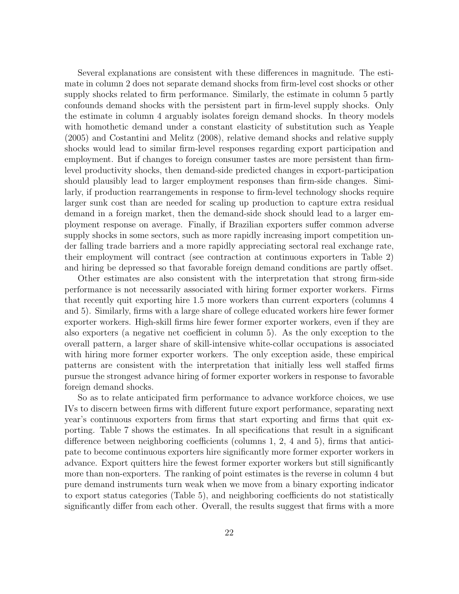Several explanations are consistent with these differences in magnitude. The estimate in column 2 does not separate demand shocks from firm-level cost shocks or other supply shocks related to firm performance. Similarly, the estimate in column 5 partly confounds demand shocks with the persistent part in firm-level supply shocks. Only the estimate in column 4 arguably isolates foreign demand shocks. In theory models with homothetic demand under a constant elasticity of substitution such as Yeaple (2005) and Costantini and Melitz (2008), relative demand shocks and relative supply shocks would lead to similar firm-level responses regarding export participation and employment. But if changes to foreign consumer tastes are more persistent than firmlevel productivity shocks, then demand-side predicted changes in export-participation should plausibly lead to larger employment responses than firm-side changes. Similarly, if production rearrangements in response to firm-level technology shocks require larger sunk cost than are needed for scaling up production to capture extra residual demand in a foreign market, then the demand-side shock should lead to a larger employment response on average. Finally, if Brazilian exporters suffer common adverse supply shocks in some sectors, such as more rapidly increasing import competition under falling trade barriers and a more rapidly appreciating sectoral real exchange rate, their employment will contract (see contraction at continuous exporters in Table 2) and hiring be depressed so that favorable foreign demand conditions are partly offset.

Other estimates are also consistent with the interpretation that strong firm-side performance is not necessarily associated with hiring former exporter workers. Firms that recently quit exporting hire 1.5 more workers than current exporters (columns 4 and 5). Similarly, firms with a large share of college educated workers hire fewer former exporter workers. High-skill firms hire fewer former exporter workers, even if they are also exporters (a negative net coefficient in column 5). As the only exception to the overall pattern, a larger share of skill-intensive white-collar occupations is associated with hiring more former exporter workers. The only exception aside, these empirical patterns are consistent with the interpretation that initially less well staffed firms pursue the strongest advance hiring of former exporter workers in response to favorable foreign demand shocks.

So as to relate anticipated firm performance to advance workforce choices, we use IVs to discern between firms with different future export performance, separating next year's continuous exporters from firms that start exporting and firms that quit exporting. Table 7 shows the estimates. In all specifications that result in a significant difference between neighboring coefficients (columns 1, 2, 4 and 5), firms that anticipate to become continuous exporters hire significantly more former exporter workers in advance. Export quitters hire the fewest former exporter workers but still significantly more than non-exporters. The ranking of point estimates is the reverse in column 4 but pure demand instruments turn weak when we move from a binary exporting indicator to export status categories (Table 5), and neighboring coefficients do not statistically significantly differ from each other. Overall, the results suggest that firms with a more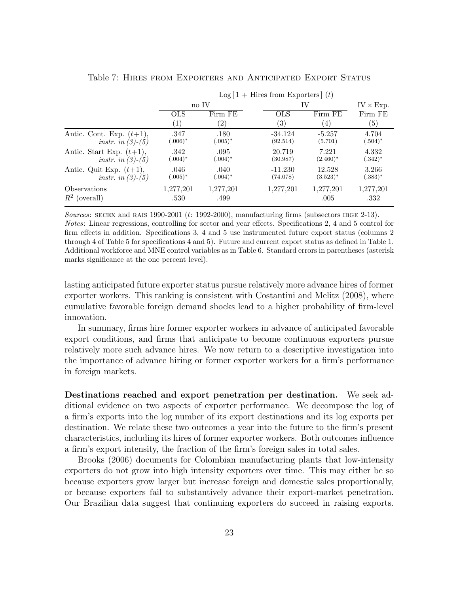|                             |            | $\text{Log}[1 + \text{Hires from Exporters}](t)$ |            |                  |                   |  |  |
|-----------------------------|------------|--------------------------------------------------|------------|------------------|-------------------|--|--|
|                             | no IV      |                                                  |            | IV               |                   |  |  |
|                             | <b>OLS</b> | Firm FE                                          | <b>OLS</b> | Firm FE          | Firm FE           |  |  |
|                             | (1)        | $\left( 2\right)$                                | (3)        | $\left(4\right)$ | $\left( 5\right)$ |  |  |
| Antic. Cont. Exp. $(t+1)$ , | .347       | .180                                             | $-34.124$  | $-5.257$         | 4.704             |  |  |
| instr. in $(3)-(5)$         | $(.006)*$  | $(.005)^*$                                       | (92.514)   | (5.701)          | $(.504)^*$        |  |  |
| Antic. Start Exp. $(t+1)$ , | .342       | .095                                             | 20.719     | 7.221            | 4.332             |  |  |
| instr. in $(3)-(5)$         | $(.004)^*$ | $(.004)^*$                                       | (30.987)   | $(2.460)^*$      | $(.342)^*$        |  |  |
| Antic. Quit Exp. $(t+1)$ ,  | .046       | .040                                             | $-11.230$  | 12.528           | 3.266             |  |  |
| instr. in $(3)-(5)$         | $(.005)^*$ | $(.004)^*$                                       | (74.078)   | $(3.523)^*$      | $(.383)^*$        |  |  |
| <i><b>Observations</b></i>  | 1,277,201  | 1,277,201                                        | 1,277,201  | 1,277,201        | 1,277,201         |  |  |
| $R^2$ (overall)             | .530       | .499                                             |            | .005             | .332              |  |  |

Table 7: Hires from Exporters and Anticipated Export Status

Sources: SECEX and RAIS 1990-2001  $(t: 1992-2000)$ , manufacturing firms (subsectors IBGE 2-13). Notes: Linear regressions, controlling for sector and year effects. Specifications 2, 4 and 5 control for firm effects in addition. Specifications 3, 4 and 5 use instrumented future export status (columns 2 through 4 of Table 5 for specifications 4 and 5). Future and current export status as defined in Table 1. Additional workforce and MNE control variables as in Table 6. Standard errors in parentheses (asterisk marks significance at the one percent level).

lasting anticipated future exporter status pursue relatively more advance hires of former exporter workers. This ranking is consistent with Costantini and Melitz (2008), where cumulative favorable foreign demand shocks lead to a higher probability of firm-level innovation.

In summary, firms hire former exporter workers in advance of anticipated favorable export conditions, and firms that anticipate to become continuous exporters pursue relatively more such advance hires. We now return to a descriptive investigation into the importance of advance hiring or former exporter workers for a firm's performance in foreign markets.

Destinations reached and export penetration per destination. We seek additional evidence on two aspects of exporter performance. We decompose the log of a firm's exports into the log number of its export destinations and its log exports per destination. We relate these two outcomes a year into the future to the firm's present characteristics, including its hires of former exporter workers. Both outcomes influence a firm's export intensity, the fraction of the firm's foreign sales in total sales.

Brooks (2006) documents for Colombian manufacturing plants that low-intensity exporters do not grow into high intensity exporters over time. This may either be so because exporters grow larger but increase foreign and domestic sales proportionally, or because exporters fail to substantively advance their export-market penetration. Our Brazilian data suggest that continuing exporters do succeed in raising exports.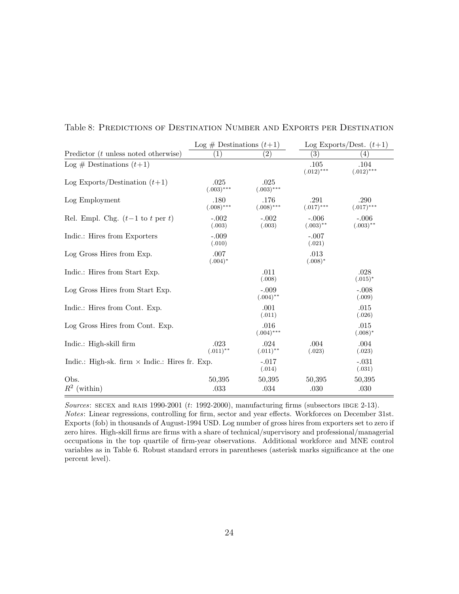|                                                       | Log # Destinations $(t+1)$ |                        | Log Exports/Dest. $(t+1)$ |                          |  |
|-------------------------------------------------------|----------------------------|------------------------|---------------------------|--------------------------|--|
| Predictor $(t$ unless noted otherwise)                | $\left(1\right)$           | $\left( 2\right)$      | $\left( 3\right)$         | $\left(4\right)$         |  |
| Log # Destinations $(t+1)$                            |                            |                        | .105<br>$(.012)$ ***      | $.104\,$<br>$(.012)$ *** |  |
| Log Exports/Destination $(t+1)$                       | .025<br>$(.003)$ ***       | .025<br>$(.003)$ ***   |                           |                          |  |
| Log Employment                                        | .180<br>$(.008)$ ***       | .176<br>$(.008)$ ***   | .291<br>$(.017)$ ***      | .290<br>$(.017)$ ***     |  |
| Rel. Empl. Chg. $(t-1$ to t per t)                    | $-.002$<br>(.003)          | $-.002$<br>(.003)      | $-.006$<br>$(.003)$ **    | $-.006$<br>$(.003)$ **   |  |
| Indic.: Hires from Exporters                          | $-.009$<br>(.010)          |                        | $-.007$<br>(.021)         |                          |  |
| Log Gross Hires from Exp.                             | .007<br>$(.004)^*$         |                        | .013<br>$(.008)^*$        |                          |  |
| Indic.: Hires from Start Exp.                         |                            | .011<br>(.008)         |                           | .028<br>$(.015)^*$       |  |
| Log Gross Hires from Start Exp.                       |                            | $-.009$<br>$(.004)$ ** |                           | $-.008$<br>(.009)        |  |
| Indic.: Hires from Cont. Exp.                         |                            | .001<br>(.011)         |                           | .015<br>(.026)           |  |
| Log Gross Hires from Cont. Exp.                       |                            | .016<br>$(.004)$ ***   |                           | .015<br>$(.008)^*$       |  |
| Indic.: High-skill firm                               | .023<br>$(.011)$ **        | .024<br>$(.011)$ **    | .004<br>(.023)            | .004<br>(.023)           |  |
| Indic.: High-sk. firm $\times$ Indic.: Hires fr. Exp. |                            | $-.017$<br>(.014)      |                           | $-.031$<br>(.031)        |  |
| Obs.<br>$R^2$ (within)                                | 50,395<br>.033             | 50,395<br>.034         | 50,395<br>.030            | 50,395<br>.030           |  |

Table 8: Predictions of Destination Number and Exports per Destination

Sources: SECEX and RAIS 1990-2001  $(t: 1992-2000)$ , manufacturing firms (subsectors IBGE 2-13). Notes: Linear regressions, controlling for firm, sector and year effects. Workforces on December 31st. Exports (fob) in thousands of August-1994 USD. Log number of gross hires from exporters set to zero if zero hires. High-skill firms are firms with a share of technical/supervisory and professional/managerial occupations in the top quartile of firm-year observations. Additional workforce and MNE control variables as in Table 6. Robust standard errors in parentheses (asterisk marks significance at the one percent level).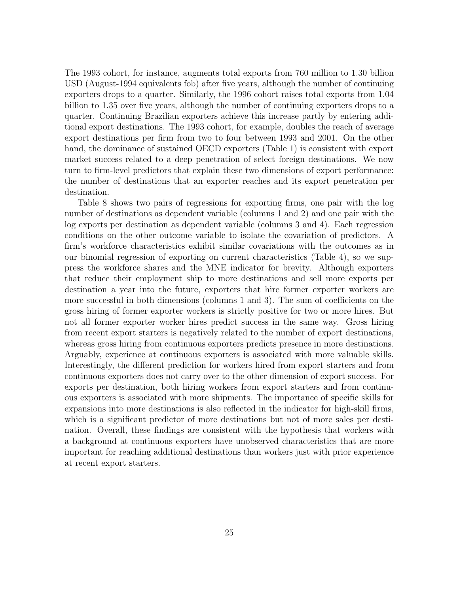The 1993 cohort, for instance, augments total exports from 760 million to 1.30 billion USD (August-1994 equivalents fob) after five years, although the number of continuing exporters drops to a quarter. Similarly, the 1996 cohort raises total exports from 1.04 billion to 1.35 over five years, although the number of continuing exporters drops to a quarter. Continuing Brazilian exporters achieve this increase partly by entering additional export destinations. The 1993 cohort, for example, doubles the reach of average export destinations per firm from two to four between 1993 and 2001. On the other hand, the dominance of sustained OECD exporters (Table 1) is consistent with export market success related to a deep penetration of select foreign destinations. We now turn to firm-level predictors that explain these two dimensions of export performance: the number of destinations that an exporter reaches and its export penetration per destination.

Table 8 shows two pairs of regressions for exporting firms, one pair with the log number of destinations as dependent variable (columns 1 and 2) and one pair with the log exports per destination as dependent variable (columns 3 and 4). Each regression conditions on the other outcome variable to isolate the covariation of predictors. A firm's workforce characteristics exhibit similar covariations with the outcomes as in our binomial regression of exporting on current characteristics (Table 4), so we suppress the workforce shares and the MNE indicator for brevity. Although exporters that reduce their employment ship to more destinations and sell more exports per destination a year into the future, exporters that hire former exporter workers are more successful in both dimensions (columns 1 and 3). The sum of coefficients on the gross hiring of former exporter workers is strictly positive for two or more hires. But not all former exporter worker hires predict success in the same way. Gross hiring from recent export starters is negatively related to the number of export destinations, whereas gross hiring from continuous exporters predicts presence in more destinations. Arguably, experience at continuous exporters is associated with more valuable skills. Interestingly, the different prediction for workers hired from export starters and from continuous exporters does not carry over to the other dimension of export success. For exports per destination, both hiring workers from export starters and from continuous exporters is associated with more shipments. The importance of specific skills for expansions into more destinations is also reflected in the indicator for high-skill firms, which is a significant predictor of more destinations but not of more sales per destination. Overall, these findings are consistent with the hypothesis that workers with a background at continuous exporters have unobserved characteristics that are more important for reaching additional destinations than workers just with prior experience at recent export starters.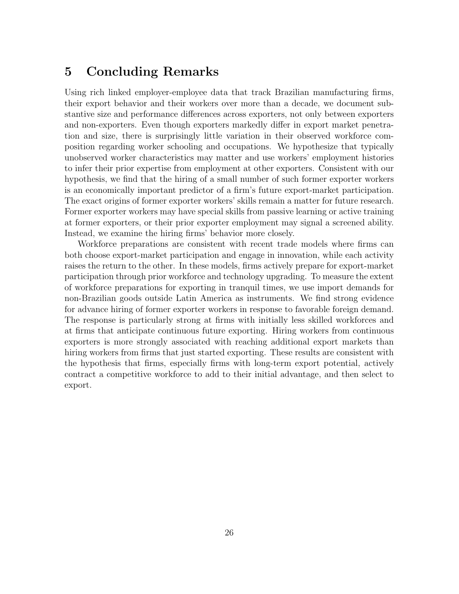# 5 Concluding Remarks

Using rich linked employer-employee data that track Brazilian manufacturing firms, their export behavior and their workers over more than a decade, we document substantive size and performance differences across exporters, not only between exporters and non-exporters. Even though exporters markedly differ in export market penetration and size, there is surprisingly little variation in their observed workforce composition regarding worker schooling and occupations. We hypothesize that typically unobserved worker characteristics may matter and use workers' employment histories to infer their prior expertise from employment at other exporters. Consistent with our hypothesis, we find that the hiring of a small number of such former exporter workers is an economically important predictor of a firm's future export-market participation. The exact origins of former exporter workers' skills remain a matter for future research. Former exporter workers may have special skills from passive learning or active training at former exporters, or their prior exporter employment may signal a screened ability. Instead, we examine the hiring firms' behavior more closely.

Workforce preparations are consistent with recent trade models where firms can both choose export-market participation and engage in innovation, while each activity raises the return to the other. In these models, firms actively prepare for export-market participation through prior workforce and technology upgrading. To measure the extent of workforce preparations for exporting in tranquil times, we use import demands for non-Brazilian goods outside Latin America as instruments. We find strong evidence for advance hiring of former exporter workers in response to favorable foreign demand. The response is particularly strong at firms with initially less skilled workforces and at firms that anticipate continuous future exporting. Hiring workers from continuous exporters is more strongly associated with reaching additional export markets than hiring workers from firms that just started exporting. These results are consistent with the hypothesis that firms, especially firms with long-term export potential, actively contract a competitive workforce to add to their initial advantage, and then select to export.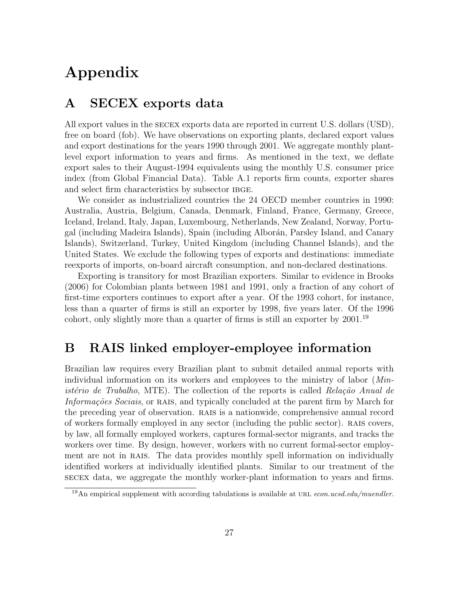# Appendix

## A SECEX exports data

All export values in the secex exports data are reported in current U.S. dollars (USD), free on board (fob). We have observations on exporting plants, declared export values and export destinations for the years 1990 through 2001. We aggregate monthly plantlevel export information to years and firms. As mentioned in the text, we deflate export sales to their August-1994 equivalents using the monthly U.S. consumer price index (from Global Financial Data). Table A.1 reports firm counts, exporter shares and select firm characteristics by subsector IBGE.

We consider as industrialized countries the 24 OECD member countries in 1990: Australia, Austria, Belgium, Canada, Denmark, Finland, France, Germany, Greece, Iceland, Ireland, Italy, Japan, Luxembourg, Netherlands, New Zealand, Norway, Portugal (including Madeira Islands), Spain (including Albor´an, Parsley Island, and Canary Islands), Switzerland, Turkey, United Kingdom (including Channel Islands), and the United States. We exclude the following types of exports and destinations: immediate reexports of imports, on-board aircraft consumption, and non-declared destinations.

Exporting is transitory for most Brazilian exporters. Similar to evidence in Brooks (2006) for Colombian plants between 1981 and 1991, only a fraction of any cohort of first-time exporters continues to export after a year. Of the 1993 cohort, for instance, less than a quarter of firms is still an exporter by 1998, five years later. Of the 1996 cohort, only slightly more than a quarter of firms is still an exporter by 2001.<sup>19</sup>

### B RAIS linked employer-employee information

Brazilian law requires every Brazilian plant to submit detailed annual reports with individual information on its workers and employees to the ministry of labor (Min*istério de Trabalho*, MTE). The collection of the reports is called  $Relação Anual de$ Informações Sociais, or RAIS, and typically concluded at the parent firm by March for the preceding year of observation. rais is a nationwide, comprehensive annual record of workers formally employed in any sector (including the public sector). rais covers, by law, all formally employed workers, captures formal-sector migrants, and tracks the workers over time. By design, however, workers with no current formal-sector employment are not in RAIS. The data provides monthly spell information on individually identified workers at individually identified plants. Similar to our treatment of the secex data, we aggregate the monthly worker-plant information to years and firms.

 $19$ An empirical supplement with according tabulations is available at URL econ.ucsd.edu/muendler.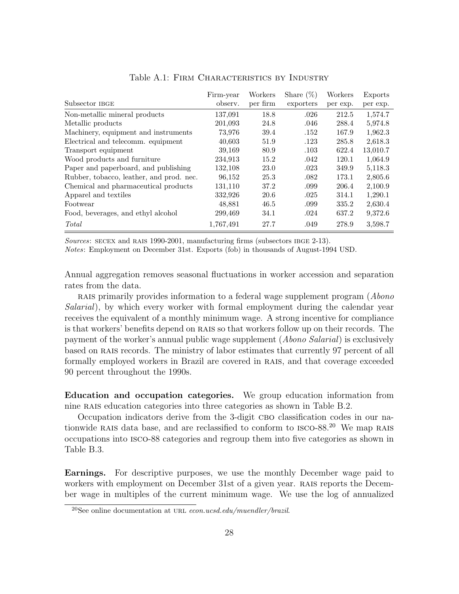|                                          | Firm-year | Workers     | Share $(\%)$ | Workers  | Exports  |
|------------------------------------------|-----------|-------------|--------------|----------|----------|
| Subsector IBGE                           | observ.   | per firm    | exporters    | per exp. | per exp. |
| Non-metallic mineral products            | 137,091   | 18.8        | .026         | 212.5    | 1,574.7  |
| Metallic products                        | 201,093   | 24.8        | .046         | 288.4    | 5,974.8  |
| Machinery, equipment and instruments     | 73,976    | 39.4        | .152         | 167.9    | 1,962.3  |
| Electrical and telecomm. equipment       | 40,603    | 51.9        | .123         | 285.8    | 2,618.3  |
| Transport equipment                      | 39,169    | 80.9        | .103         | 622.4    | 13,010.7 |
| Wood products and furniture              | 234,913   | 15.2        | .042         | 120.1    | 1,064.9  |
| Paper and paperboard, and publishing     | 132,108   | <b>23.0</b> | .023         | 349.9    | 5,118.3  |
| Rubber, tobacco, leather, and prod. nec. | 96,152    | 25.3        | .082         | 173.1    | 2,805.6  |
| Chemical and pharmaceutical products     | 131,110   | 37.2        | .099         | 206.4    | 2,100.9  |
| Apparel and textiles                     | 332,926   | 20.6        | .025         | 314.1    | 1,290.1  |
| Footwear                                 | 48,881    | 46.5        | .099         | 335.2    | 2,630.4  |
| Food, beverages, and ethyl alcohol       | 299,469   | 34.1        | .024         | 637.2    | 9,372.6  |
| Total                                    | 1,767,491 | 27.7        | .049         | 278.9    | 3,598.7  |

Table A.1: FIRM CHARACTERISTICS BY INDUSTRY

Sources: secex and rais 1990-2001, manufacturing firms (subsectors ibge 2-13).

Notes: Employment on December 31st. Exports (fob) in thousands of August-1994 USD.

Annual aggregation removes seasonal fluctuations in worker accession and separation rates from the data.

rais primarily provides information to a federal wage supplement program (Abono Salarial), by which every worker with formal employment during the calendar year receives the equivalent of a monthly minimum wage. A strong incentive for compliance is that workers' benefits depend on RAIS so that workers follow up on their records. The payment of the worker's annual public wage supplement (Abono Salarial) is exclusively based on rais records. The ministry of labor estimates that currently 97 percent of all formally employed workers in Brazil are covered in rais, and that coverage exceeded 90 percent throughout the 1990s.

Education and occupation categories. We group education information from nine RAIS education categories into three categories as shown in Table B.2.

Occupation indicators derive from the 3-digit CBO classification codes in our nationwide RAIS data base, and are reclassified to conform to ISCO-88.<sup>20</sup> We map RAIS occupations into isco-88 categories and regroup them into five categories as shown in Table B.3.

Earnings. For descriptive purposes, we use the monthly December wage paid to workers with employment on December 31st of a given year. RAIS reports the December wage in multiples of the current minimum wage. We use the log of annualized

<sup>&</sup>lt;sup>20</sup>See online documentation at URL *econ.ucsd.edu/muendler/brazil.*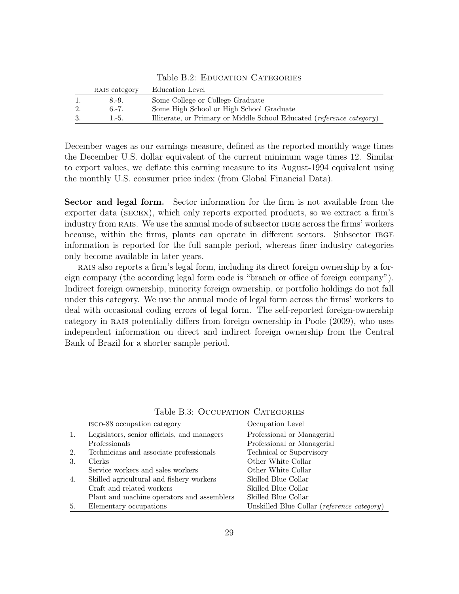|    | RAIS category | Education Level                                                       |
|----|---------------|-----------------------------------------------------------------------|
|    | $8-9.$        | Some College or College Graduate                                      |
| 2. | $6 - 7$ .     | Some High School or High School Graduate                              |
| 3. | $1.-5.$       | Illiterate, or Primary or Middle School Educated (reference category) |

Table B.2: EDUCATION CATEGORIES

December wages as our earnings measure, defined as the reported monthly wage times the December U.S. dollar equivalent of the current minimum wage times 12. Similar to export values, we deflate this earning measure to its August-1994 equivalent using the monthly U.S. consumer price index (from Global Financial Data).

Sector and legal form. Sector information for the firm is not available from the exporter data (secex), which only reports exported products, so we extract a firm's industry from RAIS. We use the annual mode of subsector IBGE across the firms' workers because, within the firms, plants can operate in different sectors. Subsector IBGE information is reported for the full sample period, whereas finer industry categories only become available in later years.

rais also reports a firm's legal form, including its direct foreign ownership by a foreign company (the according legal form code is "branch or office of foreign company"). Indirect foreign ownership, minority foreign ownership, or portfolio holdings do not fall under this category. We use the annual mode of legal form across the firms' workers to deal with occasional coding errors of legal form. The self-reported foreign-ownership category in rais potentially differs from foreign ownership in Poole (2009), who uses independent information on direct and indirect foreign ownership from the Central Bank of Brazil for a shorter sample period.

|    | ISCO-88 occupation category                 | Occupation Level                           |
|----|---------------------------------------------|--------------------------------------------|
| 1. | Legislators, senior officials, and managers | Professional or Managerial                 |
|    | Professionals                               | Professional or Managerial                 |
| 2. | Technicians and associate professionals     | Technical or Supervisory                   |
| 3. | <b>Clerks</b>                               | Other White Collar                         |
|    | Service workers and sales workers           | Other White Collar                         |
| 4. | Skilled agricultural and fishery workers    | Skilled Blue Collar                        |
|    | Craft and related workers                   | Skilled Blue Collar                        |
|    | Plant and machine operators and assemblers  | Skilled Blue Collar                        |
| 5. | Elementary occupations                      | Unskilled Blue Collar (reference category) |

Table B.3: OCCUPATION CATEGORIES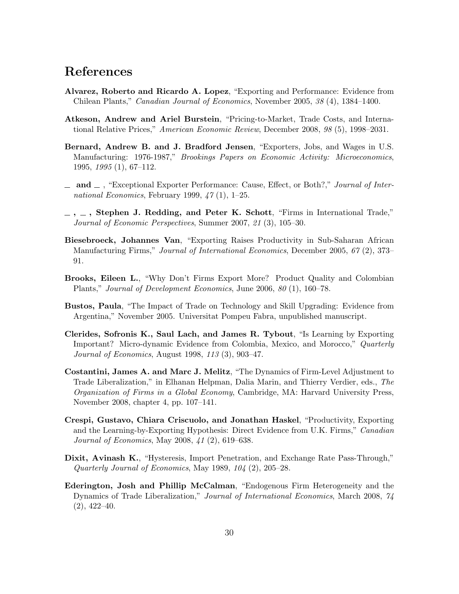# References

- Alvarez, Roberto and Ricardo A. Lopez, "Exporting and Performance: Evidence from Chilean Plants," Canadian Journal of Economics, November 2005, 38 (4), 1384–1400.
- Atkeson, Andrew and Ariel Burstein, "Pricing-to-Market, Trade Costs, and International Relative Prices," American Economic Review, December 2008, 98 (5), 1998–2031.
- Bernard, Andrew B. and J. Bradford Jensen, "Exporters, Jobs, and Wages in U.S. Manufacturing: 1976-1987," Brookings Papers on Economic Activity: Microeconomics, 1995, 1995 (1), 67–112.
- and  $-$ , "Exceptional Exporter Performance: Cause, Effect, or Both?," Journal of International Economics, February 1999, 47 (1), 1–25.
- $, \ldots$ , Stephen J. Redding, and Peter K. Schott, "Firms in International Trade," Journal of Economic Perspectives, Summer 2007, 21 (3), 105–30.
- Biesebroeck, Johannes Van, "Exporting Raises Productivity in Sub-Saharan African Manufacturing Firms," Journal of International Economics, December 2005, 67 (2), 373– 91.
- Brooks, Eileen L., "Why Don't Firms Export More? Product Quality and Colombian Plants," Journal of Development Economics, June 2006, 80 (1), 160–78.
- Bustos, Paula, "The Impact of Trade on Technology and Skill Upgrading: Evidence from Argentina," November 2005. Universitat Pompeu Fabra, unpublished manuscript.
- Clerides, Sofronis K., Saul Lach, and James R. Tybout, "Is Learning by Exporting Important? Micro-dynamic Evidence from Colombia, Mexico, and Morocco," Quarterly Journal of Economics, August 1998, 113 (3), 903–47.
- Costantini, James A. and Marc J. Melitz, "The Dynamics of Firm-Level Adjustment to Trade Liberalization," in Elhanan Helpman, Dalia Marin, and Thierry Verdier, eds., The Organization of Firms in a Global Economy, Cambridge, MA: Harvard University Press, November 2008, chapter 4, pp. 107–141.
- Crespi, Gustavo, Chiara Criscuolo, and Jonathan Haskel, "Productivity, Exporting and the Learning-by-Exporting Hypothesis: Direct Evidence from U.K. Firms," Canadian Journal of Economics, May 2008, 41 (2), 619–638.
- Dixit, Avinash K., "Hysteresis, Import Penetration, and Exchange Rate Pass-Through," Quarterly Journal of Economics, May 1989, 104 (2), 205–28.
- Ederington, Josh and Phillip McCalman, "Endogenous Firm Heterogeneity and the Dynamics of Trade Liberalization," Journal of International Economics, March 2008, 74  $(2), 422 - 40.$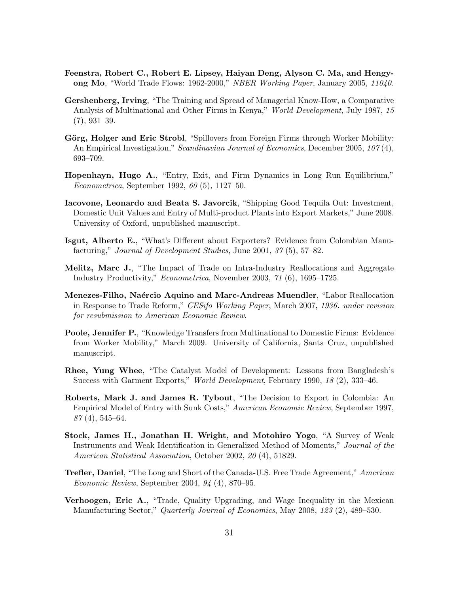- Feenstra, Robert C., Robert E. Lipsey, Haiyan Deng, Alyson C. Ma, and Hengyong Mo, "World Trade Flows: 1962-2000," NBER Working Paper, January 2005, 11040.
- Gershenberg, Irving, "The Training and Spread of Managerial Know-How, a Comparative Analysis of Multinational and Other Firms in Kenya," World Development, July 1987, 15 (7), 931–39.
- Görg, Holger and Eric Strobl, "Spillovers from Foreign Firms through Worker Mobility: An Empirical Investigation," Scandinavian Journal of Economics, December 2005, 107(4), 693–709.
- Hopenhayn, Hugo A., "Entry, Exit, and Firm Dynamics in Long Run Equilibrium," Econometrica, September 1992, 60 (5), 1127–50.
- Iacovone, Leonardo and Beata S. Javorcik, "Shipping Good Tequila Out: Investment, Domestic Unit Values and Entry of Multi-product Plants into Export Markets," June 2008. University of Oxford, unpublished manuscript.
- Isgut, Alberto E., "What's Different about Exporters? Evidence from Colombian Manufacturing," Journal of Development Studies, June 2001, 37 (5), 57–82.
- Melitz, Marc J., "The Impact of Trade on Intra-Industry Reallocations and Aggregate Industry Productivity," Econometrica, November 2003, 71 (6), 1695–1725.
- Menezes-Filho, Naércio Aquino and Marc-Andreas Muendler, "Labor Reallocation in Response to Trade Reform," CESifo Working Paper, March 2007, 1936. under revision for resubmission to American Economic Review.
- Poole, Jennifer P., "Knowledge Transfers from Multinational to Domestic Firms: Evidence from Worker Mobility," March 2009. University of California, Santa Cruz, unpublished manuscript.
- Rhee, Yung Whee, "The Catalyst Model of Development: Lessons from Bangladesh's Success with Garment Exports," World Development, February 1990, 18 (2), 333–46.
- Roberts, Mark J. and James R. Tybout, "The Decision to Export in Colombia: An Empirical Model of Entry with Sunk Costs," American Economic Review, September 1997,  $87(4)$ , 545–64.
- Stock, James H., Jonathan H. Wright, and Motohiro Yogo, "A Survey of Weak Instruments and Weak Identification in Generalized Method of Moments," Journal of the American Statistical Association, October 2002, 20 (4), 51829.
- **Trefler, Daniel,** "The Long and Short of the Canada-U.S. Free Trade Agreement," American Economic Review, September 2004, 94 (4), 870–95.
- Verhoogen, Eric A., "Trade, Quality Upgrading, and Wage Inequality in the Mexican Manufacturing Sector," Quarterly Journal of Economics, May 2008, 123 (2), 489–530.